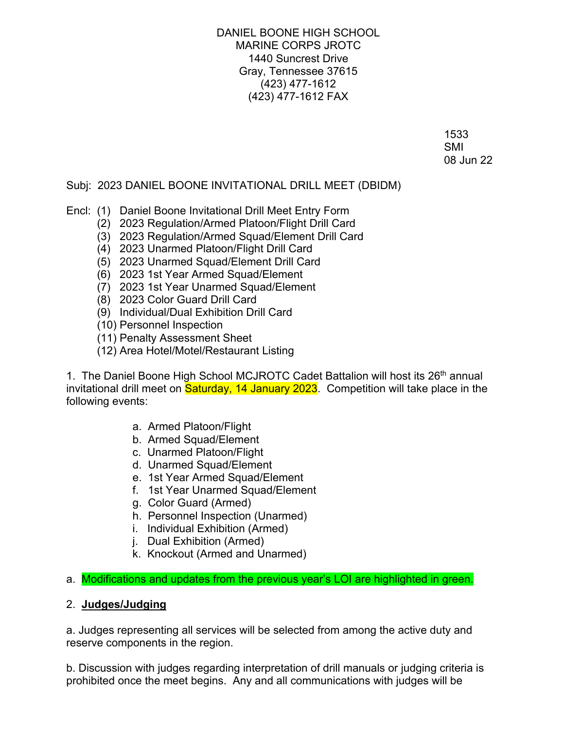DANIEL BOONE HIGH SCHOOL MARINE CORPS JROTC 1440 Suncrest Drive Gray, Tennessee 37615 (423) 477-1612 (423) 477-1612 FAX

 1533 SMI SAME STATE OF THE STATE OF THE STATE OF THE STATE OF THE STATE OF THE STATE OF THE STATE OF THE STATE OF T 08 Jun 22

# Subj: 2023 DANIEL BOONE INVITATIONAL DRILL MEET (DBIDM)

- Encl: (1) Daniel Boone Invitational Drill Meet Entry Form
	- (2) 2023 Regulation/Armed Platoon/Flight Drill Card
	- (3) 2023 Regulation/Armed Squad/Element Drill Card
	- (4) 2023 Unarmed Platoon/Flight Drill Card
	- (5) 2023 Unarmed Squad/Element Drill Card
	- (6) 2023 1st Year Armed Squad/Element
	- (7) 2023 1st Year Unarmed Squad/Element
	- (8) 2023 Color Guard Drill Card
	- (9) Individual/Dual Exhibition Drill Card
	- (10) Personnel Inspection
	- (11) Penalty Assessment Sheet
	- (12) Area Hotel/Motel/Restaurant Listing

1. The Daniel Boone High School MCJROTC Cadet Battalion will host its 26<sup>th</sup> annual invitational drill meet on **Saturday, 14 January 2023**. Competition will take place in the following events:

- a. Armed Platoon/Flight
- b. Armed Squad/Element
- c. Unarmed Platoon/Flight
- d. Unarmed Squad/Element
- e. 1st Year Armed Squad/Element
- f. 1st Year Unarmed Squad/Element
- g. Color Guard (Armed)
- h. Personnel Inspection (Unarmed)
- i. Individual Exhibition (Armed)
- j. Dual Exhibition (Armed)
- k. Knockout (Armed and Unarmed)

a. Modifications and updates from the previous year's LOI are highlighted in green.

# 2. **Judges/Judging**

a. Judges representing all services will be selected from among the active duty and reserve components in the region.

b. Discussion with judges regarding interpretation of drill manuals or judging criteria is prohibited once the meet begins. Any and all communications with judges will be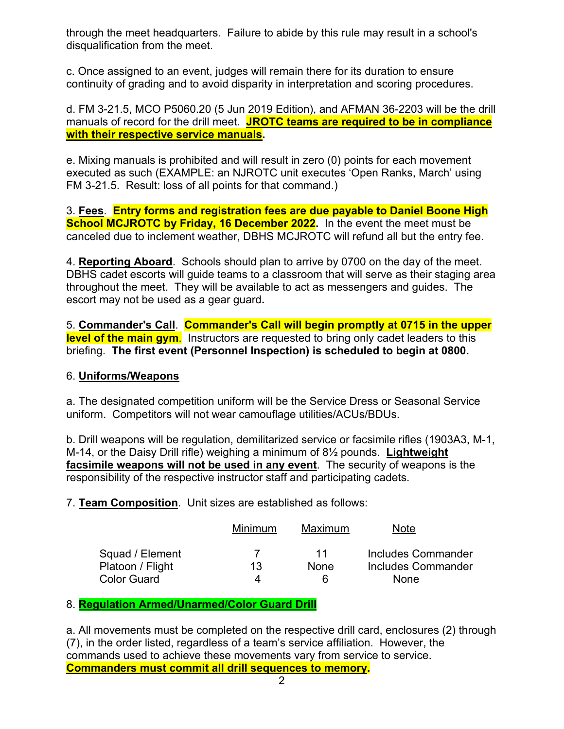through the meet headquarters. Failure to abide by this rule may result in a school's disqualification from the meet.

c. Once assigned to an event, judges will remain there for its duration to ensure continuity of grading and to avoid disparity in interpretation and scoring procedures.

d. FM 3-21.5, MCO P5060.20 (5 Jun 2019 Edition), and AFMAN 36-2203 will be the drill manuals of record for the drill meet. **JROTC teams are required to be in compliance with their respective service manuals.** 

e. Mixing manuals is prohibited and will result in zero (0) points for each movement executed as such (EXAMPLE: an NJROTC unit executes 'Open Ranks, March' using FM 3-21.5. Result: loss of all points for that command.)

3. **Fees**. **Entry forms and registration fees are due payable to Daniel Boone High School MCJROTC by Friday, 16 December 2022.** In the event the meet must be canceled due to inclement weather, DBHS MCJROTC will refund all but the entry fee.

4. **Reporting Aboard**. Schools should plan to arrive by 0700 on the day of the meet. DBHS cadet escorts will guide teams to a classroom that will serve as their staging area throughout the meet. They will be available to act as messengers and guides. The escort may not be used as a gear guard**.**

5. **Commander's Call**. **Commander's Call will begin promptly at 0715 in the upper level of the main gym**. Instructors are requested to bring only cadet leaders to this briefing. **The first event (Personnel Inspection) is scheduled to begin at 0800.**

# 6. **Uniforms/Weapons**

a. The designated competition uniform will be the Service Dress or Seasonal Service uniform. Competitors will not wear camouflage utilities/ACUs/BDUs.

b. Drill weapons will be regulation, demilitarized service or facsimile rifles (1903A3, M-1, M-14, or the Daisy Drill rifle) weighing a minimum of 8½ pounds. **Lightweight facsimile weapons will not be used in any event**. The security of weapons is the responsibility of the respective instructor staff and participating cadets.

7. **Team Composition**. Unit sizes are established as follows:

|                                                           | Minimum | Maximum                | Note                                             |
|-----------------------------------------------------------|---------|------------------------|--------------------------------------------------|
| Squad / Element<br>Platoon / Flight<br><b>Color Guard</b> | 13<br>⊿ | 11<br>None<br><b>6</b> | Includes Commander<br>Includes Commander<br>None |

# 8. **Regulation Armed/Unarmed/Color Guard Drill**

a. All movements must be completed on the respective drill card, enclosures (2) through (7), in the order listed, regardless of a team's service affiliation. However, the commands used to achieve these movements vary from service to service. **Commanders must commit all drill sequences to memory.**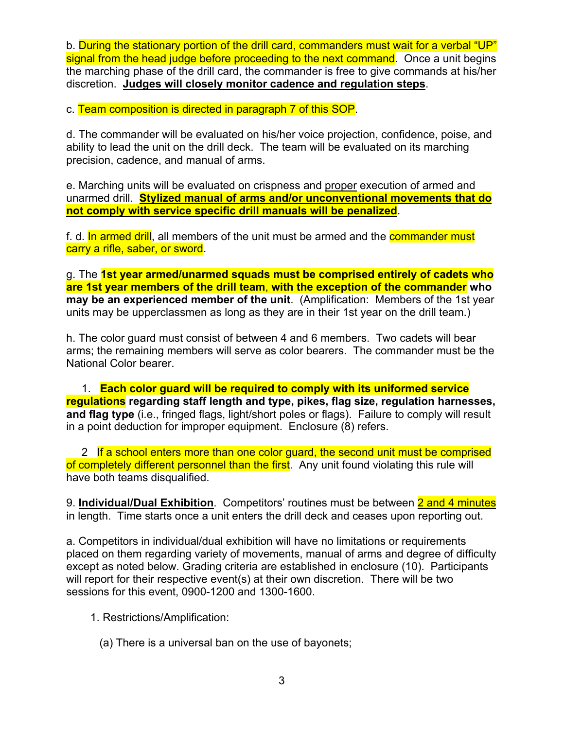b. During the stationary portion of the drill card, commanders must wait for a verbal "UP" signal from the head judge before proceeding to the next command. Once a unit begins the marching phase of the drill card, the commander is free to give commands at his/her discretion. **Judges will closely monitor cadence and regulation steps**.

c. Team composition is directed in paragraph 7 of this SOP.

d. The commander will be evaluated on his/her voice projection, confidence, poise, and ability to lead the unit on the drill deck. The team will be evaluated on its marching precision, cadence, and manual of arms.

e. Marching units will be evaluated on crispness and proper execution of armed and unarmed drill. **Stylized manual of arms and/or unconventional movements that do not comply with service specific drill manuals will be penalized**.

f. d. In armed drill, all members of the unit must be armed and the **commander must** carry a rifle, saber, or sword.

g. The **1st year armed/unarmed squads must be comprised entirely of cadets who are 1st year members of the drill team**, **with the exception of the commander who may be an experienced member of the unit**. (Amplification: Members of the 1st year units may be upperclassmen as long as they are in their 1st year on the drill team.)

h. The color guard must consist of between 4 and 6 members. Two cadets will bear arms; the remaining members will serve as color bearers. The commander must be the National Color bearer.

 1. **Each color guard will be required to comply with its uniformed service regulations regarding staff length and type, pikes, flag size, regulation harnesses, and flag type** (i.e., fringed flags, light/short poles or flags). Failure to comply will result in a point deduction for improper equipment. Enclosure (8) refers.

2 If a school enters more than one color quard, the second unit must be comprised of completely different personnel than the first. Any unit found violating this rule will have both teams disqualified.

9. **Individual/Dual Exhibition**. Competitors' routines must be between 2 and 4 minutes in length. Time starts once a unit enters the drill deck and ceases upon reporting out.

a. Competitors in individual/dual exhibition will have no limitations or requirements placed on them regarding variety of movements, manual of arms and degree of difficulty except as noted below. Grading criteria are established in enclosure (10). Participants will report for their respective event(s) at their own discretion. There will be two sessions for this event, 0900-1200 and 1300-1600.

1. Restrictions/Amplification:

(a) There is a universal ban on the use of bayonets;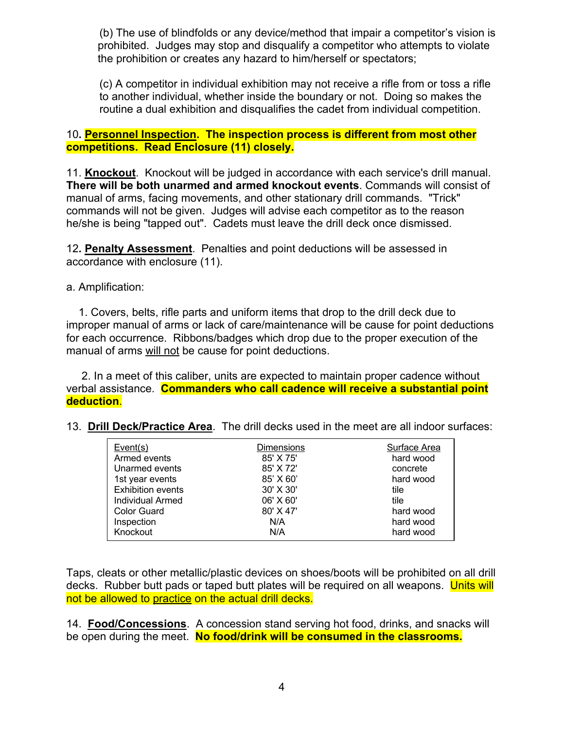(b) The use of blindfolds or any device/method that impair a competitor's vision is prohibited. Judges may stop and disqualify a competitor who attempts to violate the prohibition or creates any hazard to him/herself or spectators;

(c) A competitor in individual exhibition may not receive a rifle from or toss a rifle to another individual, whether inside the boundary or not. Doing so makes the routine a dual exhibition and disqualifies the cadet from individual competition.

# 10**. Personnel Inspection. The inspection process is different from most other competitions. Read Enclosure (11) closely.**

11. **Knockout**. Knockout will be judged in accordance with each service's drill manual. **There will be both unarmed and armed knockout events**. Commands will consist of manual of arms, facing movements, and other stationary drill commands. "Trick" commands will not be given. Judges will advise each competitor as to the reason he/she is being "tapped out". Cadets must leave the drill deck once dismissed.

12**. Penalty Assessment**. Penalties and point deductions will be assessed in accordance with enclosure (11).

a. Amplification:

 1. Covers, belts, rifle parts and uniform items that drop to the drill deck due to improper manual of arms or lack of care/maintenance will be cause for point deductions for each occurrence. Ribbons/badges which drop due to the proper execution of the manual of arms will not be cause for point deductions.

 2. In a meet of this caliber, units are expected to maintain proper cadence without verbal assistance. **Commanders who call cadence will receive a substantial point deduction**.

| Event(s)                 | <b>Dimensions</b> | Surface Area |
|--------------------------|-------------------|--------------|
| Armed events             | 85' X 75'         | hard wood    |
| Unarmed events           | 85' X 72'         | concrete     |
| 1st year events          | 85' X 60'         | hard wood    |
| <b>Exhibition events</b> | 30' X 30'         | tile         |
| Individual Armed         | 06' X 60'         | tile         |
| Color Guard              | 80' X 47'         | hard wood    |
| Inspection               | N/A               | hard wood    |
| Knockout                 | N/A               | hard wood    |

Taps, cleats or other metallic/plastic devices on shoes/boots will be prohibited on all drill decks. Rubber butt pads or taped butt plates will be required on all weapons. Units will not be allowed to practice on the actual drill decks.

14. **Food/Concessions**. A concession stand serving hot food, drinks, and snacks will be open during the meet. **No food/drink will be consumed in the classrooms.**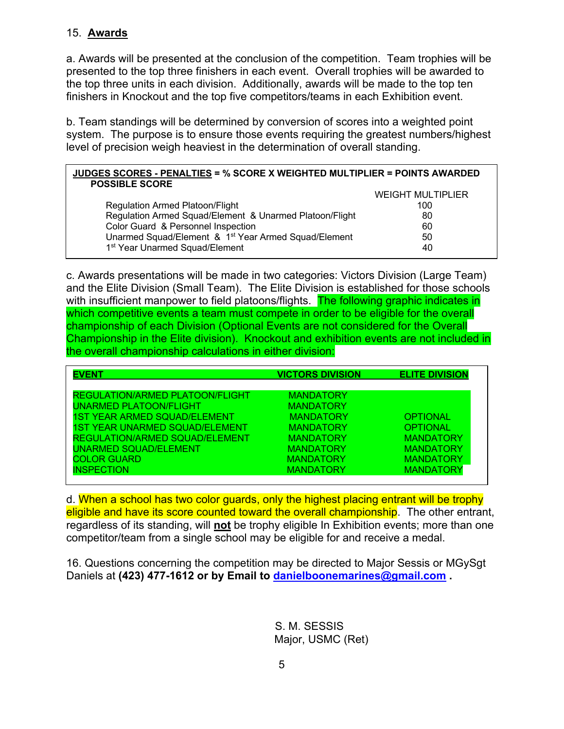# 15. **Awards**

a. Awards will be presented at the conclusion of the competition. Team trophies will be presented to the top three finishers in each event. Overall trophies will be awarded to the top three units in each division. Additionally, awards will be made to the top ten finishers in Knockout and the top five competitors/teams in each Exhibition event.

b. Team standings will be determined by conversion of scores into a weighted point system. The purpose is to ensure those events requiring the greatest numbers/highest level of precision weigh heaviest in the determination of overall standing.

# **JUDGES SCORES - PENALTIES = % SCORE X WEIGHTED MULTIPLIER = POINTS AWARDED POSSIBLE SCORE** WEIGHT MULTIPLIER

|                                                                  | <b>WEIGHT MULTIPLIER</b> |
|------------------------------------------------------------------|--------------------------|
| Regulation Armed Platoon/Flight                                  | 100                      |
| Regulation Armed Squad/Element & Unarmed Platoon/Flight          | 80                       |
| Color Guard & Personnel Inspection                               | 60                       |
| Unarmed Squad/Element & 1 <sup>st</sup> Year Armed Squad/Element | 50                       |
| 1 <sup>st</sup> Year Unarmed Squad/Element                       | 40                       |

c. Awards presentations will be made in two categories: Victors Division (Large Team) and the Elite Division (Small Team). The Elite Division is established for those schools with insufficient manpower to field platoons/flights. The following graphic indicates in which competitive events a team must compete in order to be eligible for the overall championship of each Division (Optional Events are not considered for the Overall Championship in the Elite division). Knockout and exhibition events are not included in the overall championship calculations in either division:

| <b>EVENT</b>                           | <b>VICTORS DIVISION</b> | <b>ELITE DIVISION</b> |
|----------------------------------------|-------------------------|-----------------------|
|                                        |                         |                       |
| <b>REGULATION/ARMED PLATOON/FLIGHT</b> | <b>MANDATORY</b>        |                       |
| <b>UNARMED PLATOON/FLIGHT</b>          | <b>MANDATORY</b>        |                       |
| <b>1ST YEAR ARMED SQUAD/ELEMENT</b>    | <b>MANDATORY</b>        | <b>OPTIONAL</b>       |
| <b>1ST YEAR UNARMED SQUAD/ELEMENT</b>  | <b>MANDATORY</b>        | <b>OPTIONAL</b>       |
| <b>REGULATION/ARMED SQUAD/ELEMENT</b>  | <b>MANDATORY</b>        | <b>MANDATORY</b>      |
| <b>UNARMED SQUAD/ELEMENT</b>           | <b>MANDATORY</b>        | <b>MANDATORY</b>      |
| <b>COLOR GUARD</b>                     | <b>MANDATORY</b>        | <b>MANDATORY</b>      |
| <b>INSPECTION</b>                      | <b>MANDATORY</b>        | <b>MANDATORY</b>      |
|                                        |                         |                       |

d. When a school has two color guards, only the highest placing entrant will be trophy eligible and have its score counted toward the overall championship. The other entrant, regardless of its standing, will **not** be trophy eligible In Exhibition events; more than one competitor/team from a single school may be eligible for and receive a medal.

16. Questions concerning the competition may be directed to Major Sessis or MGySgt Daniels at **(423) 477-1612 or by Email to danielboonemarines@gmail.com .** 

> S. M. SESSIS Major, USMC (Ret)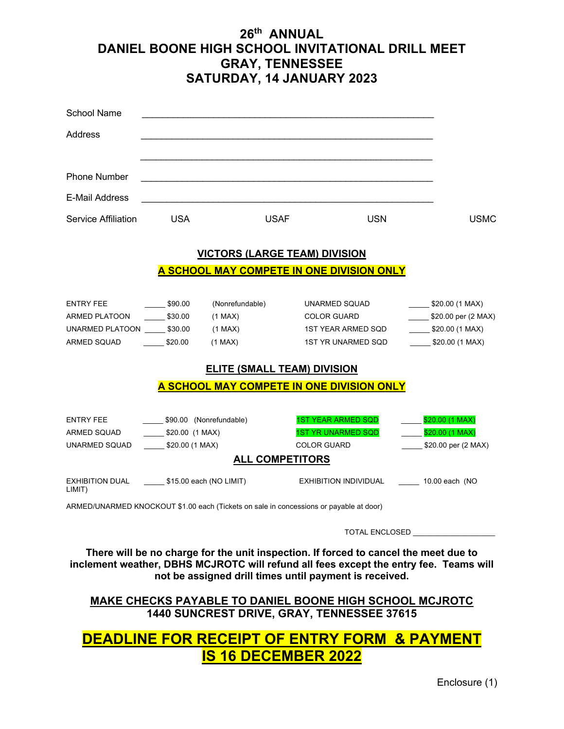# **26th ANNUAL DANIEL BOONE HIGH SCHOOL INVITATIONAL DRILL MEET GRAY, TENNESSEE SATURDAY, 14 JANUARY 2023**

| <b>School Name</b>                                |                         |                 |                                                                                        |                                               |
|---------------------------------------------------|-------------------------|-----------------|----------------------------------------------------------------------------------------|-----------------------------------------------|
| Address                                           |                         |                 |                                                                                        |                                               |
|                                                   |                         |                 |                                                                                        |                                               |
|                                                   |                         |                 |                                                                                        |                                               |
| <b>Phone Number</b>                               |                         |                 |                                                                                        |                                               |
| <b>E-Mail Address</b>                             |                         |                 |                                                                                        |                                               |
| Service Affiliation                               | <b>USA</b>              |                 | <b>USAF</b><br><b>USN</b>                                                              | <b>USMC</b>                                   |
|                                                   |                         |                 | <b>VICTORS (LARGE TEAM) DIVISION</b>                                                   |                                               |
|                                                   |                         |                 | A SCHOOL MAY COMPETE IN ONE DIVISION ONLY                                              |                                               |
|                                                   |                         |                 |                                                                                        |                                               |
|                                                   |                         |                 |                                                                                        |                                               |
| <b>ENTRY FEE</b>                                  | \$90.00                 | (Nonrefundable) | UNARMED SQUAD                                                                          | $\frac{1}{2}$ \$20.00 (1 MAX)                 |
| <b>ARMED PLATOON</b>                              | \$30.00                 | $(1$ MAX $)$    | <b>COLOR GUARD</b>                                                                     | $$20.00 \text{ per} (2 \text{ MAX})$          |
| UNARMED PLATOON \$30.00                           |                         | $(1$ MAX $)$    | <b>1ST YEAR ARMED SQD</b>                                                              | \$20.00(1 MAX)                                |
| <b>ARMED SQUAD</b>                                | \$20.00                 | $(1$ MAX $)$    | <b>1ST YR UNARMED SQD</b>                                                              | \$20.00(1 MAX)                                |
|                                                   |                         |                 | <b>ELITE (SMALL TEAM) DIVISION</b>                                                     |                                               |
|                                                   |                         |                 | A SCHOOL MAY COMPETE IN ONE DIVISION ONLY                                              |                                               |
|                                                   |                         |                 |                                                                                        |                                               |
| <b>ENTRY FEE</b>                                  | \$90.00 (Nonrefundable) |                 | <b>1ST YEAR ARMED SQD</b>                                                              | \$20.00 (1 MAX)                               |
| ARMED SQUAD                                       | $$20.00$ (1 MAX)        |                 | <b>1ST YR UNARMED SQD</b>                                                              | \$20.00 (1 MAX)<br>$\mathcal{L}^{\text{max}}$ |
| UNARMED SQUAD                                     | \$20.00(1 MAX)          |                 | <b>COLOR GUARD</b>                                                                     | \$20.00 per (2 MAX)                           |
|                                                   |                         |                 | <b>ALL COMPETITORS</b>                                                                 |                                               |
| EXHIBITION DUAL \$15.00 each (NO LIMIT)<br>LIMIT) |                         |                 |                                                                                        | EXHIBITION INDIVIDUAL 10.00 each (NO          |
|                                                   |                         |                 | ARMED/UNARMED KNOCKOUT \$1.00 each (Tickets on sale in concessions or payable at door) |                                               |
|                                                   |                         |                 |                                                                                        |                                               |
|                                                   |                         |                 | <b>TOTAL ENCLOSED</b>                                                                  |                                               |

**There will be no charge for the unit inspection. If forced to cancel the meet due to inclement weather, DBHS MCJROTC will refund all fees except the entry fee. Teams will not be assigned drill times until payment is received.**

**MAKE CHECKS PAYABLE TO DANIEL BOONE HIGH SCHOOL MCJROTC 1440 SUNCREST DRIVE, GRAY, TENNESSEE 37615**

# **DEADLINE FOR RECEIPT OF ENTRY FORM & PAYMENT IS 16 DECEMBER 2022**

Enclosure (1)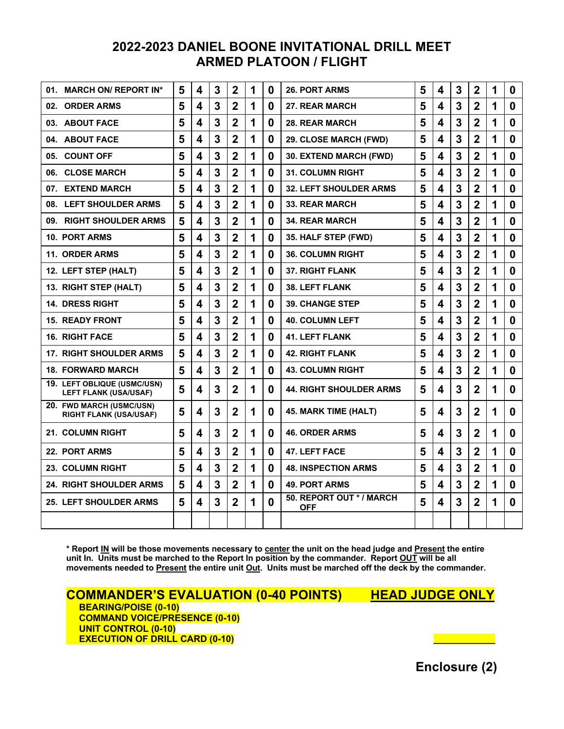# **2022-2023 DANIEL BOONE INVITATIONAL DRILL MEET ARMED PLATOON / FLIGHT**

| <b>MARCH ON/ REPORT IN*</b><br>01.                          | 5 | 4                       | 3 | $\overline{2}$ | 1 | $\bf{0}$ | <b>26. PORT ARMS</b>                  | 5 | 4 | 3 | $\mathbf 2$    | 1 | 0        |
|-------------------------------------------------------------|---|-------------------------|---|----------------|---|----------|---------------------------------------|---|---|---|----------------|---|----------|
| <b>ORDER ARMS</b><br>02.                                    | 5 | 4                       | 3 | $\overline{2}$ | 1 | 0        | 27. REAR MARCH                        | 5 | 4 | 3 | $\overline{2}$ | 1 | $\bf{0}$ |
| 03. ABOUT FACE                                              | 5 | 4                       | 3 | $\overline{2}$ | 1 | 0        | <b>28. REAR MARCH</b>                 | 5 | 4 | 3 | $\overline{2}$ | 1 | $\bf{0}$ |
| 04. ABOUT FACE                                              | 5 | 4                       | 3 | $\overline{2}$ | 1 | $\bf{0}$ | 29. CLOSE MARCH (FWD)                 | 5 | 4 | 3 | $\overline{2}$ | 1 | $\bf{0}$ |
| 05. COUNT OFF                                               | 5 | 4                       | 3 | $\mathbf 2$    | 1 | 0        | 30. EXTEND MARCH (FWD)                | 5 | 4 | 3 | $\mathbf 2$    | 1 | $\bf{0}$ |
| <b>CLOSE MARCH</b><br>06.                                   | 5 | 4                       | 3 | $\overline{2}$ | 1 | $\bf{0}$ | <b>31. COLUMN RIGHT</b>               | 5 | 4 | 3 | $\overline{2}$ | 1 | $\bf{0}$ |
| <b>EXTEND MARCH</b><br>07.                                  | 5 | 4                       | 3 | $\overline{2}$ | 1 | 0        | <b>32. LEFT SHOULDER ARMS</b>         | 5 | 4 | 3 | $\overline{2}$ | 1 | $\bf{0}$ |
| 08. LEFT SHOULDER ARMS                                      | 5 | 4                       | 3 | $\overline{2}$ | 1 | 0        | <b>33. REAR MARCH</b>                 | 5 | 4 | 3 | $\overline{2}$ | 1 | $\bf{0}$ |
| <b>RIGHT SHOULDER ARMS</b><br>09.                           | 5 | 4                       | 3 | $\overline{2}$ | 1 | $\bf{0}$ | <b>34. REAR MARCH</b>                 | 5 | 4 | 3 | $\overline{2}$ | 1 | $\bf{0}$ |
| <b>10. PORT ARMS</b>                                        | 5 | 4                       | 3 | $\overline{2}$ | 1 | 0        | 35. HALF STEP (FWD)                   | 5 | 4 | 3 | $\mathbf{2}$   | 1 | $\bf{0}$ |
| <b>11. ORDER ARMS</b>                                       | 5 | 4                       | 3 | $\overline{2}$ | 1 | 0        | <b>36. COLUMN RIGHT</b>               | 5 | 4 | 3 | $\overline{2}$ | 1 | $\bf{0}$ |
| 12. LEFT STEP (HALT)                                        | 5 | 4                       | 3 | $\overline{2}$ | 1 | $\bf{0}$ | <b>37. RIGHT FLANK</b>                | 5 | 4 | 3 | $\mathbf{2}$   | 1 | $\bf{0}$ |
| 13. RIGHT STEP (HALT)                                       | 5 | 4                       | 3 | $\overline{2}$ | 1 | 0        | <b>38. LEFT FLANK</b>                 | 5 | 4 | 3 | $\overline{2}$ | 1 | $\bf{0}$ |
| <b>14. DRESS RIGHT</b>                                      | 5 | 4                       | 3 | $\overline{2}$ | 1 | 0        | <b>39. CHANGE STEP</b>                | 5 | 4 | 3 | $\overline{2}$ | 1 | $\bf{0}$ |
| <b>15. READY FRONT</b>                                      | 5 | 4                       | 3 | $\overline{2}$ | 1 | 0        | <b>40. COLUMN LEFT</b>                | 5 | 4 | 3 | $\overline{2}$ | 1 | $\bf{0}$ |
| <b>16. RIGHT FACE</b>                                       | 5 | 4                       | 3 | $\overline{2}$ | 1 | $\bf{0}$ | <b>41. LEFT FLANK</b>                 | 5 | 4 | 3 | $\overline{2}$ | 1 | $\bf{0}$ |
| <b>17. RIGHT SHOULDER ARMS</b>                              | 5 | $\overline{\mathbf{4}}$ | 3 | $\overline{2}$ | 1 | $\bf{0}$ | <b>42. RIGHT FLANK</b>                | 5 | 4 | 3 | $\overline{2}$ | 1 | $\bf{0}$ |
| <b>18. FORWARD MARCH</b>                                    | 5 | 4                       | 3 | $\overline{2}$ | 1 | $\bf{0}$ | <b>43. COLUMN RIGHT</b>               | 5 | 4 | 3 | $\overline{2}$ | 1 | $\bf{0}$ |
| 19. LEFT OBLIQUE (USMC/USN)<br><b>LEFT FLANK (USA/USAF)</b> | 5 | 4                       | 3 | $\overline{2}$ | 1 | 0        | <b>44. RIGHT SHOULDER ARMS</b>        | 5 | 4 | 3 | $\overline{2}$ | 1 | $\bf{0}$ |
| 20. FWD MARCH (USMC/USN)<br><b>RIGHT FLANK (USA/USAF)</b>   | 5 | 4                       | 3 | $\mathbf{2}$   | 1 | 0        | 45. MARK TIME (HALT)                  | 5 | 4 | 3 | $\mathbf{2}$   | 1 | 0        |
| <b>21. COLUMN RIGHT</b>                                     | 5 | 4                       | 3 | $\overline{2}$ | 1 | 0        | <b>46. ORDER ARMS</b>                 | 5 | 4 | 3 | $\mathbf{2}$   | 1 | 0        |
| 22. PORT ARMS                                               | 5 | 4                       | 3 | $\overline{2}$ | 1 | 0        | <b>47. LEFT FACE</b>                  | 5 | 4 | 3 | $\overline{2}$ | 1 | $\bf{0}$ |
| 23. COLUMN RIGHT                                            | 5 | 4                       | 3 | $\overline{2}$ | 1 | $\bf{0}$ | <b>48. INSPECTION ARMS</b>            | 5 | 4 | 3 | $\overline{2}$ | 1 | $\bf{0}$ |
| <b>24. RIGHT SHOULDER ARMS</b>                              | 5 | 4                       | 3 | $\mathbf 2$    | 1 | 0        | <b>49. PORT ARMS</b>                  | 5 | 4 | 3 | $\mathbf{2}$   | 1 | $\bf{0}$ |
| <b>25. LEFT SHOULDER ARMS</b>                               | 5 | 4                       | 3 | $\overline{2}$ | 1 | $\bf{0}$ | 50. REPORT OUT */ MARCH<br><b>OFF</b> | 5 | 4 | 3 | $\overline{2}$ | 1 | $\bf{0}$ |
|                                                             |   |                         |   |                |   |          |                                       |   |   |   |                |   |          |

**\* Report IN will be those movements necessary to center the unit on the head judge and Present the entire unit In. Units must be marched to the Report In position by the commander. Report OUT will be all movements needed to Present the entire unit Out. Units must be marched off the deck by the commander.**

**COMMANDER'S EVALUATION (0-40 POINTS) HEAD JUDGE ONLY**<br>BEARING/POISE (0-10)  **COMMAND VOICE/PRESENCE (0-10) UNIT CONTROL (0-10) EXECUTION OF DRILL CARD (0-10) \_\_\_\_\_\_\_\_\_\_\_\_**

**Enclosure (2)**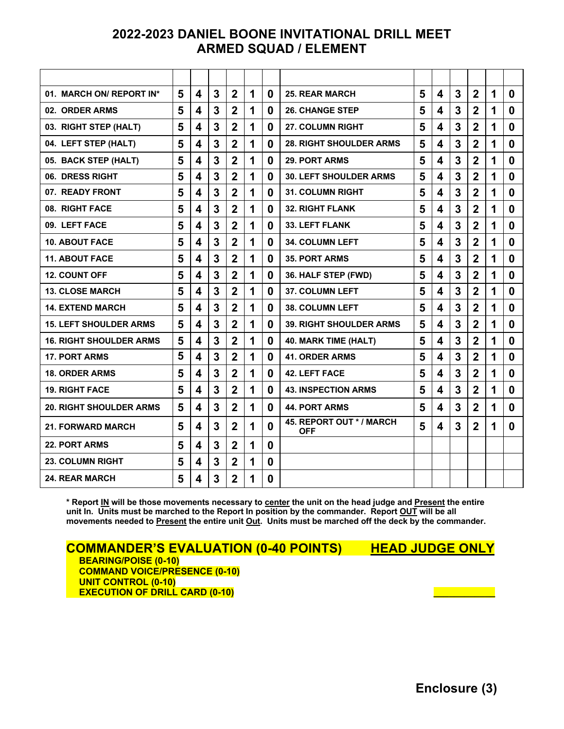# **2022-2023 DANIEL BOONE INVITATIONAL DRILL MEET ARMED SQUAD / ELEMENT**

| 01. MARCH ON/ REPORT IN*       | 5 | 4                       | 3 | $\overline{2}$ | 1 | 0 | <b>25. REAR MARCH</b>                  | 5 | 4 | 3              | $\overline{2}$ | 1 | $\bf{0}$ |
|--------------------------------|---|-------------------------|---|----------------|---|---|----------------------------------------|---|---|----------------|----------------|---|----------|
| 02. ORDER ARMS                 | 5 | 4                       | 3 | $\overline{2}$ | 1 | 0 | <b>26. CHANGE STEP</b>                 | 5 | 4 | 3              | $\overline{2}$ | 1 | $\bf{0}$ |
| 03. RIGHT STEP (HALT)          | 5 | 4                       | 3 | $\overline{2}$ | 1 | 0 | 27. COLUMN RIGHT                       | 5 | 4 | 3              | $\overline{2}$ | 1 | $\bf{0}$ |
| 04. LEFT STEP (HALT)           | 5 | 4                       | 3 | $\overline{2}$ | 1 | 0 | <b>28. RIGHT SHOULDER ARMS</b>         | 5 | 4 | 3              | $\overline{2}$ | 1 | $\bf{0}$ |
| 05. BACK STEP (HALT)           | 5 | 4                       | 3 | $\overline{2}$ | 1 | 0 | <b>29. PORT ARMS</b>                   | 5 | 4 | 3              | $\mathbf 2$    | 1 | 0        |
| 06. DRESS RIGHT                | 5 | 4                       | 3 | $\overline{2}$ | 1 | 0 | <b>30. LEFT SHOULDER ARMS</b>          | 5 | 4 | 3              | $\overline{2}$ | 1 | 0        |
| 07. READY FRONT                | 5 | 4                       | 3 | $\overline{2}$ | 1 | 0 | <b>31. COLUMN RIGHT</b>                | 5 | 4 | $\overline{3}$ | $\mathbf 2$    | 1 | $\bf{0}$ |
| 08. RIGHT FACE                 | 5 | 4                       | 3 | $\overline{2}$ | 1 | 0 | <b>32. RIGHT FLANK</b>                 | 5 | 4 | 3              | $\overline{2}$ | 1 | $\bf{0}$ |
| 09. LEFT FACE                  | 5 | 4                       | 3 | $\overline{2}$ | 1 | 0 | <b>33. LEFT FLANK</b>                  | 5 | 4 | 3              | $\overline{2}$ | 1 | $\bf{0}$ |
| <b>10. ABOUT FACE</b>          | 5 | 4                       | 3 | $\overline{2}$ | 1 | 0 | <b>34. COLUMN LEFT</b>                 | 5 | 4 | 3              | $\overline{2}$ | 1 | 0        |
| <b>11. ABOUT FACE</b>          | 5 | $\overline{\mathbf{4}}$ | 3 | $\overline{2}$ | 1 | 0 | <b>35. PORT ARMS</b>                   | 5 | 4 | $\overline{3}$ | $\overline{2}$ | 1 | 0        |
| <b>12. COUNT OFF</b>           | 5 | 4                       | 3 | $\overline{2}$ | 1 | 0 | 36. HALF STEP (FWD)                    | 5 | 4 | 3              | $\mathbf 2$    | 1 | 0        |
| <b>13. CLOSE MARCH</b>         | 5 | 4                       | 3 | $\overline{2}$ | 1 | 0 | <b>37. COLUMN LEFT</b>                 | 5 | 4 | 3              | $\overline{2}$ | 1 | 0        |
| <b>14. EXTEND MARCH</b>        | 5 | 4                       | 3 | $\overline{2}$ | 1 | 0 | <b>38. COLUMN LEFT</b>                 | 5 | 4 | 3              | $\mathbf 2$    | 1 | 0        |
| <b>15. LEFT SHOULDER ARMS</b>  | 5 | 4                       | 3 | $\overline{2}$ | 1 | 0 | <b>39. RIGHT SHOULDER ARMS</b>         | 5 | 4 | 3              | $\mathbf 2$    | 1 | 0        |
| <b>16. RIGHT SHOULDER ARMS</b> | 5 | 4                       | 3 | $\overline{2}$ | 1 | 0 | 40. MARK TIME (HALT)                   | 5 | 4 | $\overline{3}$ | $\overline{2}$ | 1 | $\bf{0}$ |
| <b>17. PORT ARMS</b>           | 5 | 4                       | 3 | $\overline{2}$ | 1 | 0 | <b>41. ORDER ARMS</b>                  | 5 | 4 | $\overline{3}$ | $\overline{2}$ | 1 | $\bf{0}$ |
| <b>18. ORDER ARMS</b>          | 5 | 4                       | 3 | $\overline{2}$ | 1 | 0 | <b>42. LEFT FACE</b>                   | 5 | 4 | 3              | $\overline{2}$ | 1 | 0        |
| <b>19. RIGHT FACE</b>          | 5 | 4                       | 3 | $\overline{2}$ | 1 | 0 | <b>43. INSPECTION ARMS</b>             | 5 | 4 | 3              | $\overline{2}$ | 1 | 0        |
| <b>20. RIGHT SHOULDER ARMS</b> | 5 | 4                       | 3 | $\mathbf{2}$   | 1 | 0 | <b>44. PORT ARMS</b>                   | 5 | 4 | 3              | $\overline{2}$ | 1 | 0        |
| <b>21. FORWARD MARCH</b>       | 5 | 4                       | 3 | $\overline{2}$ | 1 | 0 | 45. REPORT OUT * / MARCH<br><b>OFF</b> | 5 | 4 | 3              | 2              | 1 | $\bf{0}$ |
| 22. PORT ARMS                  | 5 | 4                       | 3 | $\overline{2}$ | 1 | 0 |                                        |   |   |                |                |   |          |
| <b>23. COLUMN RIGHT</b>        | 5 | 4                       | 3 | $\overline{2}$ | 1 | 0 |                                        |   |   |                |                |   |          |
| <b>24. REAR MARCH</b>          | 5 | 4                       | 3 | $\overline{2}$ | 1 | 0 |                                        |   |   |                |                |   |          |

**\* Report IN will be those movements necessary to center the unit on the head judge and Present the entire unit In. Units must be marched to the Report In position by the commander. Report OUT will be all movements needed to Present the entire unit Out. Units must be marched off the deck by the commander.**

**COMMANDER'S EVALUATION (0-40 POINTS) HEAD JUDGE ONLY BEARING/POISE (0-10) COMMAND VOICE/PRESENCE (0-10) UNIT CONTROL (0-10) EXECUTION OF DRILL CARD (0-10) \_\_\_\_\_\_\_\_\_\_\_\_**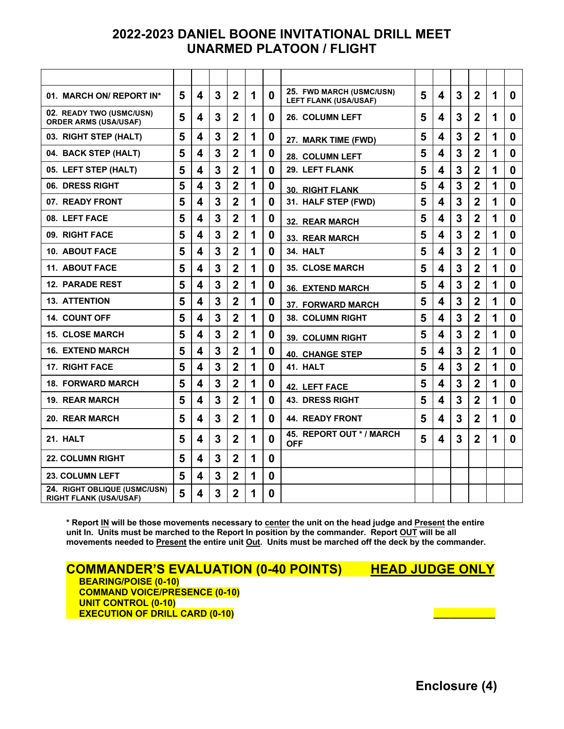# **2022-2023 DANIEL BOONE INVITATIONAL DRILL MEET UNARMED PLATOON / FLIGHT**

| 01. MARCH ON/ REPORT IN*                                      | 5 | 4                       | 3 | $\overline{2}$ | 1 | $\bf{0}$ | 25. FWD MARCH (USMC/USN)<br><b>LEFT FLANK (USA/USAF)</b> | 5 | $\overline{\mathbf{4}}$ | 3 | $\overline{2}$ | 1 | $\bf{0}$    |
|---------------------------------------------------------------|---|-------------------------|---|----------------|---|----------|----------------------------------------------------------|---|-------------------------|---|----------------|---|-------------|
| 02. READY TWO (USMC/USN)<br><b>ORDER ARMS (USA/USAF)</b>      | 5 | 4                       | 3 | $\mathbf{2}$   | 1 | 0        | 26. COLUMN LEFT                                          | 5 | 4                       | 3 | $\mathbf{2}$   | 1 | 0           |
| 03. RIGHT STEP (HALT)                                         | 5 | 4                       | 3 | $\mathbf{2}$   | 1 | 0        | 27. MARK TIME (FWD)                                      | 5 | 4                       | 3 | 2              | 1 | $\bf{0}$    |
| 04. BACK STEP (HALT)                                          | 5 | 4                       | 3 | $\overline{2}$ | 1 | 0        | <b>28. COLUMN LEFT</b>                                   | 5 | 4                       | 3 | $\overline{2}$ | 1 | 0           |
| 05. LEFT STEP (HALT)                                          | 5 | 4                       | 3 | $\overline{2}$ | 1 | 0        | 29. LEFT FLANK                                           | 5 | 4                       | 3 | $\overline{2}$ | 1 | 0           |
| 06. DRESS RIGHT                                               | 5 | 4                       | 3 | $\overline{2}$ | 1 | 0        | <b>30. RIGHT FLANK</b>                                   | 5 | 4                       | 3 | $\overline{2}$ | 1 | 0           |
| 07. READY FRONT                                               | 5 | 4                       | 3 | $\overline{2}$ | 1 | 0        | 31. HALF STEP (FWD)                                      | 5 | $\overline{\mathbf{4}}$ | 3 | $\overline{2}$ | 1 | $\bf{0}$    |
| 08. LEFT FACE                                                 | 5 | 4                       | 3 | $\overline{2}$ | 1 | 0        | 32. REAR MARCH                                           | 5 | 4                       | 3 | $\overline{2}$ | 1 | $\bf{0}$    |
| 09. RIGHT FACE                                                | 5 | 4                       | 3 | $\overline{2}$ | 1 | 0        | 33. REAR MARCH                                           | 5 | 4                       | 3 | $\overline{2}$ | 1 | $\bf{0}$    |
| <b>10. ABOUT FACE</b>                                         | 5 | 4                       | 3 | $\overline{2}$ | 1 | 0        | 34. HALT                                                 | 5 | 4                       | 3 | $\overline{2}$ | 1 | $\bf{0}$    |
| <b>11. ABOUT FACE</b>                                         | 5 | 4                       | 3 | $\overline{2}$ | 1 | 0        | <b>35. CLOSE MARCH</b>                                   | 5 | 4                       | 3 | $\overline{2}$ | 1 | $\bf{0}$    |
| <b>12. PARADE REST</b>                                        | 5 | 4                       | 3 | $\overline{2}$ | 1 | $\bf{0}$ | 36. EXTEND MARCH                                         | 5 | 4                       | 3 | $\overline{2}$ | 1 | $\bf{0}$    |
| <b>13. ATTENTION</b>                                          | 5 | $\overline{\mathbf{A}}$ | 3 | $\overline{2}$ | 1 | 0        | <b>37. FORWARD MARCH</b>                                 | 5 | 4                       | 3 | $\overline{2}$ | 1 | $\bf{0}$    |
| <b>14. COUNT OFF</b>                                          | 5 | 4                       | 3 | $\overline{2}$ | 1 | 0        | 38. COLUMN RIGHT                                         | 5 | 4                       | 3 | 2              | 1 | $\bf{0}$    |
| <b>15. CLOSE MARCH</b>                                        | 5 | 4                       | 3 | $\overline{2}$ | 1 | 0        | <b>39. COLUMN RIGHT</b>                                  | 5 | 4                       | 3 | $\overline{2}$ | 1 | $\bf{0}$    |
| <b>16. EXTEND MARCH</b>                                       | 5 | 4                       | 3 | $\overline{2}$ | 1 | 0        | <b>40. CHANGE STEP</b>                                   | 5 | 4                       | 3 | $\overline{2}$ | 1 | $\bf{0}$    |
| <b>17. RIGHT FACE</b>                                         | 5 | 4                       | 3 | $\overline{2}$ | 1 | 0        | 41. HALT                                                 | 5 | 4                       | 3 | $\overline{2}$ | 1 | $\mathbf 0$ |
| 18. FORWARD MARCH                                             | 5 | 4                       | 3 | $\overline{2}$ | 1 | 0        | 42. LEFT FACE                                            | 5 | 4                       | 3 | $\overline{2}$ | 1 | $\bf{0}$    |
| <b>19. REAR MARCH</b>                                         | 5 | 4                       | 3 | $\overline{2}$ | 1 | 0        | <b>43. DRESS RIGHT</b>                                   | 5 | 4                       | 3 | $\overline{2}$ | 1 | $\bf{0}$    |
| 20. REAR MARCH                                                | 5 | 4                       | 3 | $\overline{2}$ | 1 | 0        | <b>44. READY FRONT</b>                                   | 5 | 4                       | 3 | $\overline{2}$ | 1 | $\bf{0}$    |
| 21. HALT                                                      | 5 | 4                       | 3 | $\overline{2}$ | 1 | 0        | 45. REPORT OUT * / MARCH<br><b>OFF</b>                   | 5 | 4                       | 3 | $\overline{2}$ | 1 | $\bf{0}$    |
| <b>22. COLUMN RIGHT</b>                                       | 5 | 4                       | 3 | $\overline{2}$ | 1 | 0        |                                                          |   |                         |   |                |   |             |
| <b>23. COLUMN LEFT</b>                                        | 5 | 4                       | 3 | $\overline{2}$ | 1 | $\bf{0}$ |                                                          |   |                         |   |                |   |             |
| 24. RIGHT OBLIQUE (USMC/USN)<br><b>RIGHT FLANK (USA/USAF)</b> | 5 | $\overline{\mathbf{4}}$ | 3 | $\overline{2}$ | 1 | 0        |                                                          |   |                         |   |                |   |             |

**\* Report IN will be those movements necessary to center the unit on the head judge and Present the entire unit In. Units must be marched to the Report In position by the commander. Report OUT will be all movements needed to Present the entire unit Out. Units must be marched off the deck by the commander.**

**COMMANDER'S EVALUATION (0-40 POINTS) HEAD JUDGE ONLY**<br>BEARING/POISE (0-10)  **COMMAND VOICE/PRESENCE (0-10) UNIT CONTROL (0-10) EXECUTION OF DRILL CARD (0-10)** 

**Enclosure (4)**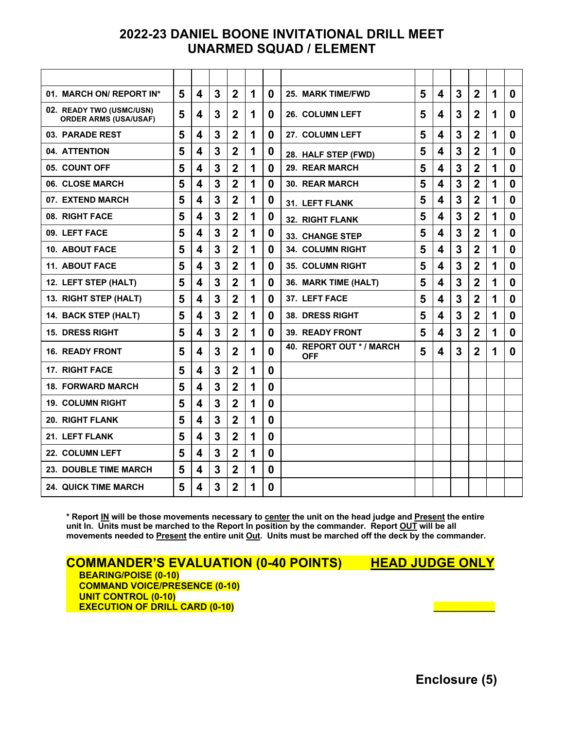# **2022-23 DANIEL BOONE INVITATIONAL DRILL MEET UNARMED SQUAD / ELEMENT**

| 01. MARCH ON/ REPORT IN*                                 | 5 | 4                       | 3 | $\overline{2}$ | 1 | $\bf{0}$         | <b>25. MARK TIME/FWD</b>               | 5 | 4                       | 3 | $\overline{2}$   | 1 | $\bf{0}$ |
|----------------------------------------------------------|---|-------------------------|---|----------------|---|------------------|----------------------------------------|---|-------------------------|---|------------------|---|----------|
| 02. READY TWO (USMC/USN)<br><b>ORDER ARMS (USA/USAF)</b> | 5 | 4                       | 3 | $\mathbf{2}$   | 1 | 0                | <b>26. COLUMN LEFT</b>                 | 5 | 4                       | 3 | $\mathbf{2}$     | 1 | 0        |
| 03. PARADE REST                                          | 5 | 4                       | 3 | $\overline{2}$ | 1 | $\bf{0}$         | 27. COLUMN LEFT                        | 5 | 4                       | 3 | $\mathbf{2}$     | 1 | 0        |
| 04. ATTENTION                                            | 5 | 4                       | 3 | $\overline{2}$ | 1 | 0                | 28. HALF STEP (FWD)                    | 5 | 4                       | 3 | $\mathbf{2}$     | 1 | 0        |
| 05. COUNT OFF                                            | 5 | 4                       | 3 | $\overline{2}$ | 1 | 0                | 29. REAR MARCH                         | 5 | 4                       | 3 | $\boldsymbol{2}$ | 1 | 0        |
| 06. CLOSE MARCH                                          | 5 | $\overline{\mathbf{4}}$ | 3 | $\overline{2}$ | 1 | $\bf{0}$         | <b>30. REAR MARCH</b>                  | 5 | 4                       | 3 | $\overline{2}$   | 1 | $\bf{0}$ |
| 07. EXTEND MARCH                                         | 5 | $\overline{\mathbf{A}}$ | 3 | $\overline{2}$ | 1 | $\boldsymbol{0}$ | 31. LEFT FLANK                         | 5 | 4                       | 3 | $\overline{2}$   | 1 | 0        |
| 08. RIGHT FACE                                           | 5 | $\overline{\mathbf{A}}$ | 3 | $\overline{2}$ | 1 | $\boldsymbol{0}$ | <b>32. RIGHT FLANK</b>                 | 5 | 4                       | 3 | $\overline{2}$   | 1 | 0        |
| 09. LEFT FACE                                            | 5 | 4                       | 3 | $\overline{2}$ | 1 | $\bf{0}$         | 33. CHANGE STEP                        | 5 | 4                       | 3 | $\overline{2}$   | 1 | $\bf{0}$ |
| <b>10. ABOUT FACE</b>                                    | 5 | 4                       | 3 | $\overline{2}$ | 1 | $\boldsymbol{0}$ | <b>34. COLUMN RIGHT</b>                | 5 | 4                       | 3 | $\overline{2}$   | 1 | 0        |
| <b>11. ABOUT FACE</b>                                    | 5 | 4                       | 3 | $\overline{2}$ | 1 | $\bf{0}$         | 35. COLUMN RIGHT                       | 5 | 4                       | 3 | $\mathbf{2}$     | 1 | 0        |
| 12. LEFT STEP (HALT)                                     | 5 | 4                       | 3 | $\overline{2}$ | 1 | 0                | 36. MARK TIME (HALT)                   | 5 | 4                       | 3 | $\mathbf 2$      | 1 | 0        |
| 13. RIGHT STEP (HALT)                                    | 5 | 4                       | 3 | $\overline{2}$ | 1 | $\bf{0}$         | 37. LEFT FACE                          | 5 | 4                       | 3 | $\overline{2}$   | 1 | 0        |
| 14. BACK STEP (HALT)                                     | 5 | 4                       | 3 | $\overline{2}$ | 1 | 0                | <b>38. DRESS RIGHT</b>                 | 5 | 4                       | 3 | $\overline{2}$   | 1 | 0        |
| <b>15. DRESS RIGHT</b>                                   | 5 | $\overline{\mathbf{A}}$ | 3 | $\overline{2}$ | 1 | 0                | <b>39. READY FRONT</b>                 | 5 | 4                       | 3 | $\overline{2}$   | 1 | 0        |
| <b>16. READY FRONT</b>                                   | 5 | $\boldsymbol{\Lambda}$  | 3 | $\overline{2}$ | 1 | 0                | 40. REPORT OUT * / MARCH<br><b>OFF</b> | 5 | $\overline{\mathbf{4}}$ | 3 | $\overline{2}$   | 1 | 0        |
| <b>17. RIGHT FACE</b>                                    | 5 | $\boldsymbol{4}$        | 3 | $\overline{2}$ | 1 | $\bf{0}$         |                                        |   |                         |   |                  |   |          |
| <b>18. FORWARD MARCH</b>                                 | 5 | $\overline{\mathbf{A}}$ | 3 | $\overline{2}$ | 1 | $\boldsymbol{0}$ |                                        |   |                         |   |                  |   |          |
| <b>19. COLUMN RIGHT</b>                                  | 5 | $\overline{\mathbf{A}}$ | 3 | $\overline{2}$ | 1 | $\bf{0}$         |                                        |   |                         |   |                  |   |          |
| <b>20. RIGHT FLANK</b>                                   | 5 | $\overline{\mathbf{4}}$ | 3 | $\overline{2}$ | 1 | $\boldsymbol{0}$ |                                        |   |                         |   |                  |   |          |
| 21. LEFT FLANK                                           | 5 | $\overline{\mathbf{4}}$ | 3 | $\overline{2}$ | 1 | $\boldsymbol{0}$ |                                        |   |                         |   |                  |   |          |
| 22. COLUMN LEFT                                          | 5 | $\overline{\mathbf{4}}$ | 3 | $\overline{2}$ | 1 | $\boldsymbol{0}$ |                                        |   |                         |   |                  |   |          |
| 23. DOUBLE TIME MARCH                                    | 5 | $\overline{\mathbf{A}}$ | 3 | $\overline{2}$ | 1 | $\boldsymbol{0}$ |                                        |   |                         |   |                  |   |          |
| <b>24. QUICK TIME MARCH</b>                              | 5 | 4                       | 3 | $\mathbf{2}$   | 1 | 0                |                                        |   |                         |   |                  |   |          |

**\* Report IN will be those movements necessary to center the unit on the head judge and Present the entire unit In. Units must be marched to the Report In position by the commander. Report OUT will be all movements needed to Present the entire unit Out. Units must be marched off the deck by the commander.**

**COMMANDER'S EVALUATION (0-40 POINTS) HEAD JUDGE ONLY**<br>BEARING/POISE (0-10)  **COMMAND VOICE/PRESENCE (0-10) UNIT CONTROL (0-10) EXECUTION OF DRILL CARD (0-10) \_\_\_\_\_\_\_\_\_\_\_\_**

**Enclosure (5)**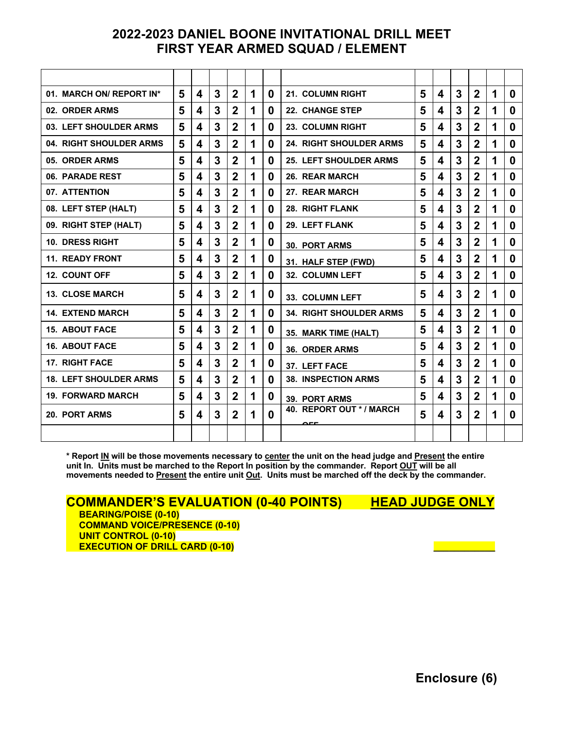# **2022-2023 DANIEL BOONE INVITATIONAL DRILL MEET FIRST YEAR ARMED SQUAD / ELEMENT**

| 01. MARCH ON/ REPORT IN*      | 5 | 4 | 3 | $\mathbf{2}$   | 1 | 0        | 21. COLUMN RIGHT                          | 5 | 4 | 3 | $\mathbf{2}$     | 1 | 0 |
|-------------------------------|---|---|---|----------------|---|----------|-------------------------------------------|---|---|---|------------------|---|---|
| 02. ORDER ARMS                | 5 | 4 | 3 | $\mathbf{2}$   | 1 | 0        | <b>22. CHANGE STEP</b>                    | 5 | 4 | 3 | $\mathbf{2}$     | 1 | 0 |
| 03. LEFT SHOULDER ARMS        | 5 | 4 | 3 | $\mathbf{2}$   | 1 | $\bf{0}$ | 23. COLUMN RIGHT                          | 5 | 4 | 3 | $\mathbf{2}$     | 1 | 0 |
| 04. RIGHT SHOULDER ARMS       | 5 | 4 | 3 | $\mathbf 2$    | 1 | 0        | <b>24. RIGHT SHOULDER ARMS</b>            | 5 | 4 | 3 | $\overline{2}$   | 1 | 0 |
| 05. ORDER ARMS                | 5 | 4 | 3 | $\mathbf{2}$   | 1 | 0        | <b>25. LEFT SHOULDER ARMS</b>             | 5 | 4 | 3 | $\mathbf{2}$     | 1 | 0 |
| 06. PARADE REST               | 5 | 4 | 3 | $\overline{2}$ | 1 | 0        | 26. REAR MARCH                            | 5 | 4 | 3 | $\mathbf{2}$     | 1 | 0 |
| 07. ATTENTION                 | 5 | 4 | 3 | $\overline{2}$ | 1 | 0        | 27. REAR MARCH                            | 5 | 4 | 3 | $\overline{2}$   | 1 | 0 |
| 08. LEFT STEP (HALT)          | 5 | 4 | 3 | $\mathbf 2$    | 1 | 0        | <b>28. RIGHT FLANK</b>                    | 5 | 4 | 3 | $\mathbf{2}$     | 1 | 0 |
| 09. RIGHT STEP (HALT)         | 5 | 4 | 3 | $\mathbf{2}$   | 1 | 0        | 29. LEFT FLANK                            | 5 | 4 | 3 | $\mathbf{2}$     | 1 | 0 |
| <b>10. DRESS RIGHT</b>        | 5 | 4 | 3 | $\overline{2}$ | 1 | 0        | <b>30. PORT ARMS</b>                      | 5 | 4 | 3 | $\overline{2}$   | 1 | 0 |
| <b>11. READY FRONT</b>        | 5 | 4 | 3 | $\overline{2}$ | 1 | 0        | 31. HALF STEP (FWD)                       | 5 | 4 | 3 | $\overline{2}$   | 1 | 0 |
| <b>12. COUNT OFF</b>          | 5 | 4 | 3 | $\mathbf{2}$   | 1 | 0        | 32. COLUMN LEFT                           | 5 | 4 | 3 | $\overline{2}$   | 1 | 0 |
| <b>13. CLOSE MARCH</b>        | 5 | 4 | 3 | $\mathbf 2$    | 1 | 0        | 33. COLUMN LEFT                           | 5 | 4 | 3 | $\mathbf{2}$     | 1 | 0 |
| <b>14. EXTEND MARCH</b>       | 5 | 4 | 3 | $\mathbf{2}$   | 1 | 0        | <b>34. RIGHT SHOULDER ARMS</b>            | 5 | 4 | 3 | $\mathbf{2}$     | 1 | 0 |
| <b>15. ABOUT FACE</b>         | 5 | 4 | 3 | $\overline{2}$ | 1 | 0        | 35. MARK TIME (HALT)                      | 5 | 4 | 3 | $\overline{2}$   | 1 | 0 |
| <b>16. ABOUT FACE</b>         | 5 | 4 | 3 | $\mathbf 2$    | 1 | 0        | <b>36. ORDER ARMS</b>                     | 5 | 4 | 3 | $\mathbf{2}$     | 1 | 0 |
| <b>17. RIGHT FACE</b>         | 5 | 4 | 3 | $\mathbf{2}$   | 1 | 0        | 37. LEFT FACE                             | 5 | 4 | 3 | $\boldsymbol{2}$ | 1 | 0 |
| <b>18. LEFT SHOULDER ARMS</b> | 5 | 4 | 3 | $\overline{2}$ | 1 | 0        | <b>38. INSPECTION ARMS</b>                | 5 | 4 | 3 | $\overline{2}$   | 1 | 0 |
| <b>19. FORWARD MARCH</b>      | 5 | 4 | 3 | $\mathbf 2$    | 1 | 0        | <b>39. PORT ARMS</b>                      | 5 | 4 | 3 | $\mathbf 2$      | 1 | 0 |
| 20. PORT ARMS                 | 5 | 4 | 3 | $\overline{2}$ | 1 | 0        | 40. REPORT OUT */ MARCH<br>$\sim$ $ \sim$ | 5 | 4 | 3 | $\overline{2}$   | 1 | 0 |
|                               |   |   |   |                |   |          |                                           |   |   |   |                  |   |   |

**\* Report IN will be those movements necessary to center the unit on the head judge and Present the entire unit In. Units must be marched to the Report In position by the commander. Report OUT will be all movements needed to Present the entire unit Out. Units must be marched off the deck by the commander.**

**COMMANDER'S EVALUATION (0-40 POINTS) HEAD JUDGE ONLY BEARING/POISE (0-10) COMMAND VOICE/PRESENCE (0-10) UNIT CONTROL (0-10)**

**EXECUTION OF DRILL CARD (0-10)** 

**Enclosure (6)**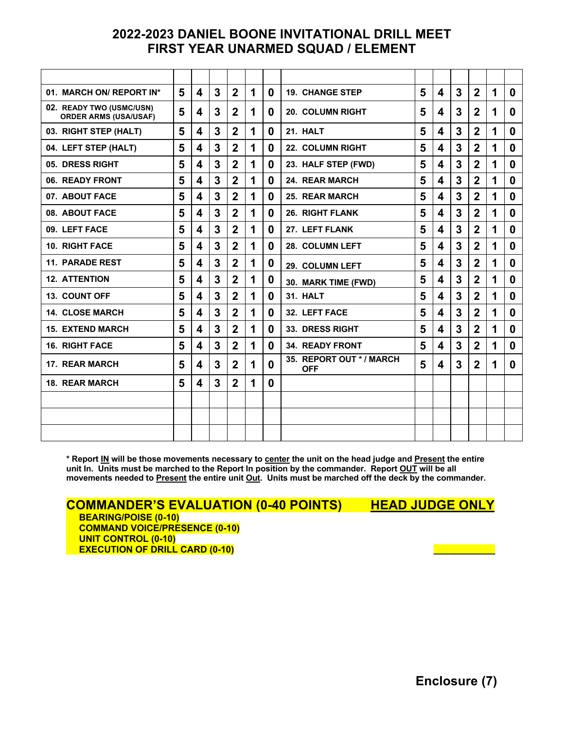# **2022-2023 DANIEL BOONE INVITATIONAL DRILL MEET FIRST YEAR UNARMED SQUAD / ELEMENT**

| 01. MARCH ON/ REPORT IN*                                 | 5 | 4                | 3 | $\mathbf{2}$   | 1 | 0        | <b>19. CHANGE STEP</b>                | 5 | 4                       | 3 | $\mathbf{2}$   | 1 | 0        |
|----------------------------------------------------------|---|------------------|---|----------------|---|----------|---------------------------------------|---|-------------------------|---|----------------|---|----------|
| 02. READY TWO (USMC/USN)<br><b>ORDER ARMS (USA/USAF)</b> | 5 | 4                | 3 | $\mathbf{2}$   | 1 | $\bf{0}$ | <b>20. COLUMN RIGHT</b>               | 5 | 4                       | 3 | $\overline{2}$ | 1 | 0        |
| 03. RIGHT STEP (HALT)                                    | 5 | 4                | 3 | $\overline{2}$ | 1 | $\bf{0}$ | 21. HALT                              | 5 | 4                       | 3 | $\overline{2}$ | 1 | 0        |
| 04. LEFT STEP (HALT)                                     | 5 | 4                | 3 | $\overline{2}$ | 1 | $\bf{0}$ | <b>22. COLUMN RIGHT</b>               | 5 | 4                       | 3 | $\mathbf{2}$   | 1 | 0        |
| 05. DRESS RIGHT                                          | 5 | 4                | 3 | $\mathbf{2}$   | 1 | 0        | 23. HALF STEP (FWD)                   | 5 | 4                       | 3 | $\overline{2}$ | 1 | 0        |
| 06. READY FRONT                                          | 5 | 4                | 3 | $\overline{2}$ | 1 | $\bf{0}$ | 24. REAR MARCH                        | 5 | 4                       | 3 | $\overline{2}$ | 1 | $\bf{0}$ |
| 07. ABOUT FACE                                           | 5 | $\blacktriangle$ | 3 | $\overline{2}$ | 1 | $\bf{0}$ | <b>25. REAR MARCH</b>                 | 5 | $\overline{\mathbf{4}}$ | 3 | $\overline{2}$ | 1 | 0        |
| 08. ABOUT FACE                                           | 5 | 4                | 3 | $\mathbf 2$    | 1 | 0        | <b>26. RIGHT FLANK</b>                | 5 | 4                       | 3 | $\overline{2}$ | 1 | 0        |
| 09. LEFT FACE                                            | 5 | 4                | 3 | $\mathbf{2}$   | 1 | 0        | 27. LEFT FLANK                        | 5 | 4                       | 3 | $\mathbf{2}$   | 1 | 0        |
| <b>10. RIGHT FACE</b>                                    | 5 | 4                | 3 | $\overline{2}$ | 1 | 0        | 28. COLUMN LEFT                       | 5 | 4                       | 3 | $\overline{2}$ | 1 | 0        |
| <b>11. PARADE REST</b>                                   | 5 | 4                | 3 | $\overline{2}$ | 1 | 0        | 29. COLUMN LEFT                       | 5 | 4                       | 3 | $\overline{2}$ | 1 | 0        |
| <b>12. ATTENTION</b>                                     | 5 | $\boldsymbol{4}$ | 3 | $\overline{2}$ | 1 | 0        | 30. MARK TIME (FWD)                   | 5 | $\overline{\mathbf{4}}$ | 3 | $\overline{2}$ | 1 | $\bf{0}$ |
| 13. COUNT OFF                                            | 5 | 4                | 3 | $\overline{2}$ | 1 | $\bf{0}$ | 31. HALT                              | 5 | 4                       | 3 | $\overline{2}$ | 1 | $\bf{0}$ |
| <b>14. CLOSE MARCH</b>                                   | 5 | 4                | 3 | $\mathbf{2}$   | 1 | 0        | 32. LEFT FACE                         | 5 | 4                       | 3 | $\mathbf{2}$   | 1 | 0        |
| <b>15. EXTEND MARCH</b>                                  | 5 | 4                | 3 | $\overline{2}$ | 1 | 0        | 33. DRESS RIGHT                       | 5 | 4                       | 3 | $\overline{2}$ | 1 | 0        |
| <b>16. RIGHT FACE</b>                                    | 5 | 4                | 3 | $\mathbf{2}$   | 1 | 0        | <b>34. READY FRONT</b>                | 5 | 4                       | 3 | $\overline{2}$ | 1 | 0        |
| <b>17. REAR MARCH</b>                                    | 5 | 4                | 3 | $\overline{2}$ | 1 | 0        | 35. REPORT OUT */ MARCH<br><b>OFF</b> | 5 | 4                       | 3 | $\mathbf{2}$   | 1 | $\bf{0}$ |
| 18. REAR MARCH                                           | 5 | 4                | 3 | $\mathbf{2}$   | 1 | 0        |                                       |   |                         |   |                |   |          |
|                                                          |   |                  |   |                |   |          |                                       |   |                         |   |                |   |          |
|                                                          |   |                  |   |                |   |          |                                       |   |                         |   |                |   |          |
|                                                          |   |                  |   |                |   |          |                                       |   |                         |   |                |   |          |

**\* Report IN will be those movements necessary to center the unit on the head judge and Present the entire unit In. Units must be marched to the Report In position by the commander. Report OUT will be all movements needed to Present the entire unit Out. Units must be marched off the deck by the commander.**

**COMMANDER'S EVALUATION (0-40 POINTS) HEAD JUDGE ONLY**<br>BEARING/POISE (0-10)

 **COMMAND VOICE/PRESENCE (0-10) UNIT CONTROL (0-10) EXECUTION OF DRILL CARD (0-10) \_\_\_\_\_\_\_\_\_\_\_\_**

**Enclosure (7)**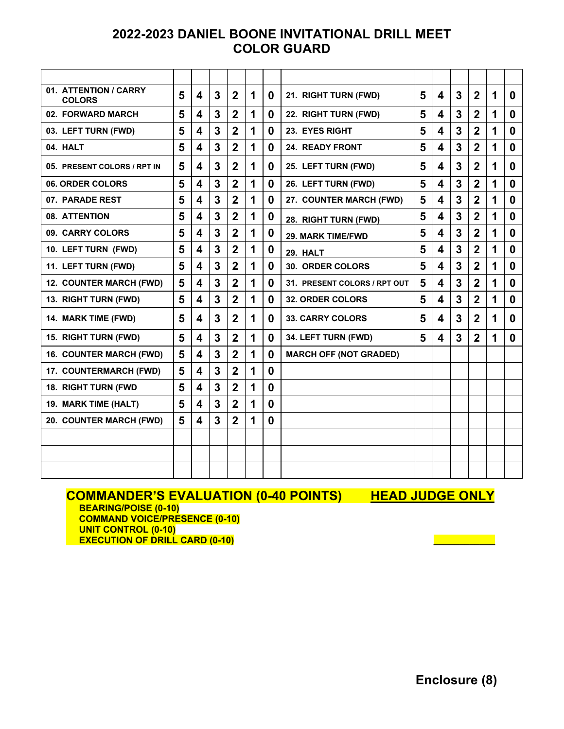# **2022-2023 DANIEL BOONE INVITATIONAL DRILL MEET COLOR GUARD**

| 01. ATTENTION / CARRY<br><b>COLORS</b> | 5 | 4                       | 3              | $\mathbf{2}$   | 1 | 0        | 21. RIGHT TURN (FWD)          | 5 | $\overline{\mathbf{4}}$ | 3              | $\boldsymbol{2}$ | 1 | 0           |
|----------------------------------------|---|-------------------------|----------------|----------------|---|----------|-------------------------------|---|-------------------------|----------------|------------------|---|-------------|
| 02. FORWARD MARCH                      | 5 | 4                       | 3              | $\overline{2}$ | 1 | 0        | 22. RIGHT TURN (FWD)          | 5 | 4                       | 3              | $\boldsymbol{2}$ | 1 | $\bf{0}$    |
| 03. LEFT TURN (FWD)                    | 5 | 4                       | 3              | $\mathbf{2}$   | 1 | 0        | 23. EYES RIGHT                | 5 | 4                       | 3              | $\boldsymbol{2}$ | 1 | $\mathbf 0$ |
| 04. HALT                               | 5 | 4                       | 3              | $\overline{2}$ | 1 | $\bf{0}$ | <b>24. READY FRONT</b>        | 5 | 4                       | 3              | $\overline{2}$   | 1 | $\bf{0}$    |
| 05. PRESENT COLORS / RPT IN            | 5 | 4                       | 3              | $\overline{2}$ | 1 | 0        | 25. LEFT TURN (FWD)           | 5 | 4                       | $\overline{3}$ | $\overline{2}$   | 1 | $\bf{0}$    |
| 06. ORDER COLORS                       | 5 | 4                       | 3              | $\overline{2}$ | 1 | 0        | 26. LEFT TURN (FWD)           | 5 | 4                       | 3              | $\mathbf 2$      | 1 | 0           |
| 07. PARADE REST                        | 5 | 4                       | 3              | $\overline{2}$ | 1 | 0        | 27. COUNTER MARCH (FWD)       | 5 | 4                       | 3              | $\overline{2}$   | 1 | 0           |
| 08. ATTENTION                          | 5 | 4                       | 3              | $\overline{2}$ | 1 | 0        | 28. RIGHT TURN (FWD)          | 5 | 4                       | 3              | $\overline{2}$   | 1 | $\bf{0}$    |
| 09. CARRY COLORS                       | 5 | 4                       | 3              | $\overline{2}$ | 1 | 0        | <b>29. MARK TIME/FWD</b>      | 5 | 4                       | 3              | $\overline{2}$   | 1 | $\bf{0}$    |
| 10. LEFT TURN (FWD)                    | 5 | 4                       | 3              | $\overline{2}$ | 1 | 0        | 29. HALT                      | 5 | 4                       | 3              | $\boldsymbol{2}$ | 1 | 0           |
| 11. LEFT TURN (FWD)                    | 5 | 4                       | 3              | $\overline{2}$ | 1 | 0        | 30. ORDER COLORS              | 5 | 4                       | 3              | $\boldsymbol{2}$ | 1 | 0           |
| 12. COUNTER MARCH (FWD)                | 5 | 4                       | 3              | $\overline{2}$ | 1 | 0        | 31. PRESENT COLORS / RPT OUT  | 5 | 4                       | 3              | $\overline{2}$   | 1 | $\bf{0}$    |
| 13. RIGHT TURN (FWD)                   | 5 | 4                       | 3              | $\overline{2}$ | 1 | $\bf{0}$ | <b>32. ORDER COLORS</b>       | 5 | 4                       | 3              | $\overline{2}$   | 1 | 0           |
| 14. MARK TIME (FWD)                    | 5 | 4                       | 3              | $\mathbf{2}$   | 1 | 0        | <b>33. CARRY COLORS</b>       | 5 | 4                       | 3              | $\mathbf{2}$     | 1 | 0           |
| 15. RIGHT TURN (FWD)                   | 5 | 4                       | 3              | $\overline{2}$ | 1 | 0        | 34. LEFT TURN (FWD)           | 5 | 4                       | 3              | $\overline{2}$   | 1 | 0           |
| <b>16. COUNTER MARCH (FWD)</b>         | 5 | $\overline{\mathbf{4}}$ | 3              | $\overline{2}$ | 1 | 0        | <b>MARCH OFF (NOT GRADED)</b> |   |                         |                |                  |   |             |
| 17. COUNTERMARCH (FWD)                 | 5 | 4                       | $\overline{3}$ | $\overline{2}$ | 1 | $\bf{0}$ |                               |   |                         |                |                  |   |             |
| 18. RIGHT TURN (FWD                    | 5 | 4                       | 3              | $\overline{2}$ | 1 | 0        |                               |   |                         |                |                  |   |             |
| 19. MARK TIME (HALT)                   | 5 | 4                       | $\overline{3}$ | $\overline{2}$ | 1 | 0        |                               |   |                         |                |                  |   |             |
| 20. COUNTER MARCH (FWD)                | 5 | 4                       | 3              | $\overline{2}$ | 1 | $\bf{0}$ |                               |   |                         |                |                  |   |             |
|                                        |   |                         |                |                |   |          |                               |   |                         |                |                  |   |             |
|                                        |   |                         |                |                |   |          |                               |   |                         |                |                  |   |             |
|                                        |   |                         |                |                |   |          |                               |   |                         |                |                  |   |             |

# **COMMANDER'S EVALUATION (0-40 POINTS) HEAD JUDGE ONLY**<br>BEARING/POISE (0-10)

 **COMMAND VOICE/PRESENCE (0-10) UNIT CONTROL (0-10) EXECUTION OF DRILL CARD (0-10) \_\_\_\_\_\_\_\_\_\_\_\_**

**Enclosure (8)**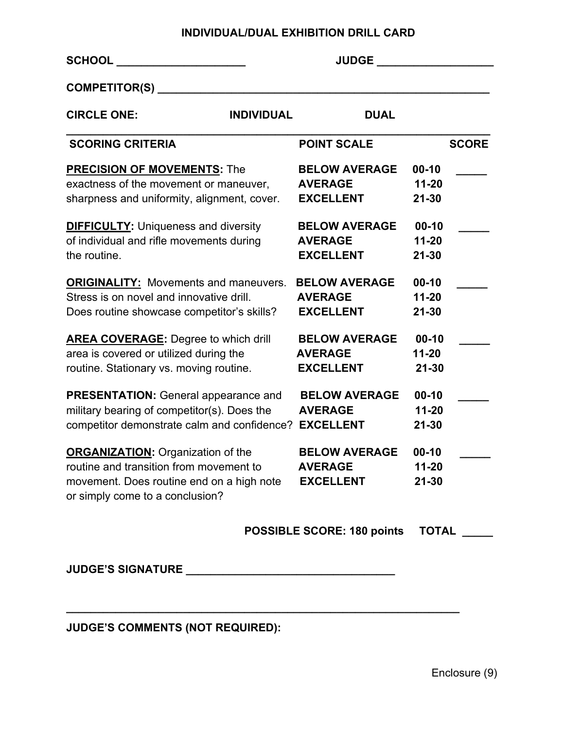## **INDIVIDUAL/DUAL EXHIBITION DRILL CARD**

| <b>SCHOOL Example 20</b>                                                                                                                                            | <b>JUDGE</b>                                               |                                     |
|---------------------------------------------------------------------------------------------------------------------------------------------------------------------|------------------------------------------------------------|-------------------------------------|
| COMPETITOR(S) _______                                                                                                                                               |                                                            |                                     |
| <b>CIRCLE ONE:</b><br><b>INDIVIDUAL</b>                                                                                                                             | <b>DUAL</b>                                                |                                     |
| <b>SCORING CRITERIA</b>                                                                                                                                             | <b>POINT SCALE</b>                                         | <b>SCORE</b>                        |
| <b>PRECISION OF MOVEMENTS: The</b>                                                                                                                                  | <b>BELOW AVERAGE</b>                                       | $00 - 10$                           |
| exactness of the movement or maneuver,                                                                                                                              | <b>AVERAGE</b>                                             | $11 - 20$                           |
| sharpness and uniformity, alignment, cover.                                                                                                                         | <b>EXCELLENT</b>                                           | $21 - 30$                           |
| <b>DIFFICULTY:</b> Uniqueness and diversity                                                                                                                         | <b>BELOW AVERAGE</b>                                       | $00 - 10$                           |
| of individual and rifle movements during                                                                                                                            | <b>AVERAGE</b>                                             | $11 - 20$                           |
| the routine.                                                                                                                                                        | <b>EXCELLENT</b>                                           | $21 - 30$                           |
| <b>ORIGINALITY:</b> Movements and maneuvers.                                                                                                                        | <b>BELOW AVERAGE</b>                                       | $00 - 10$                           |
| Stress is on novel and innovative drill.                                                                                                                            | <b>AVERAGE</b>                                             | $11 - 20$                           |
| Does routine showcase competitor's skills?                                                                                                                          | <b>EXCELLENT</b>                                           | $21 - 30$                           |
| <b>AREA COVERAGE:</b> Degree to which drill                                                                                                                         | <b>BELOW AVERAGE</b>                                       | $00-10$                             |
| area is covered or utilized during the                                                                                                                              | <b>AVERAGE</b>                                             | $11 - 20$                           |
| routine. Stationary vs. moving routine.                                                                                                                             | <b>EXCELLENT</b>                                           | $21 - 30$                           |
| <b>PRESENTATION:</b> General appearance and                                                                                                                         | <b>BELOW AVERAGE</b>                                       | $00 - 10$                           |
| military bearing of competitor(s). Does the                                                                                                                         | <b>AVERAGE</b>                                             | $11 - 20$                           |
| competitor demonstrate calm and confidence?                                                                                                                         | <b>EXCELLENT</b>                                           | $21 - 30$                           |
| <b>ORGANIZATION:</b> Organization of the<br>routine and transition from movement to<br>movement. Does routine end on a high note<br>or simply come to a conclusion? | <b>BELOW AVERAGE</b><br><b>AVERAGE</b><br><b>EXCELLENT</b> | $00 - 10$<br>$11 - 20$<br>$21 - 30$ |

**\_\_\_\_\_\_\_\_\_\_\_\_\_\_\_\_\_\_\_\_\_\_\_\_\_\_\_\_\_\_\_\_\_\_\_\_\_\_\_\_\_\_\_\_\_\_\_\_\_\_\_\_\_\_\_\_\_\_\_\_\_\_\_\_**

 **POSSIBLE SCORE: 180 points TOTAL \_\_\_\_\_**

**JUDGE'S SIGNATURE \_\_\_\_\_\_\_\_\_\_\_\_\_\_\_\_\_\_\_\_\_\_\_\_\_\_\_\_\_\_\_\_\_\_**

# **JUDGE'S COMMENTS (NOT REQUIRED):**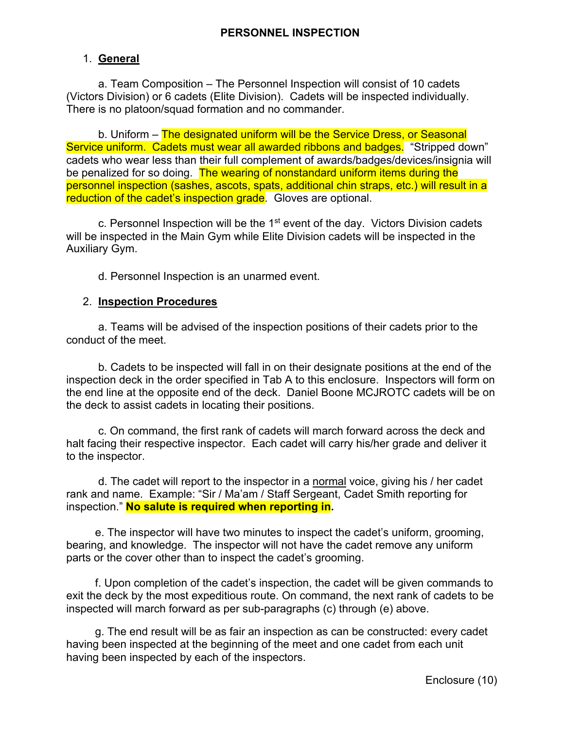# 1. **General**

 a. Team Composition – The Personnel Inspection will consist of 10 cadets (Victors Division) or 6 cadets (Elite Division). Cadets will be inspected individually. There is no platoon/squad formation and no commander.

 b. Uniform – The designated uniform will be the Service Dress, or Seasonal Service uniform. Cadets must wear all awarded ribbons and badges. "Stripped down" cadets who wear less than their full complement of awards/badges/devices/insignia will be penalized for so doing. The wearing of nonstandard uniform items during the personnel inspection (sashes, ascots, spats, additional chin straps, etc.) will result in a reduction of the cadet's inspection grade. Gloves are optional.

 c. Personnel Inspection will be the 1st event of the day. Victors Division cadets will be inspected in the Main Gym while Elite Division cadets will be inspected in the Auxiliary Gym.

d. Personnel Inspection is an unarmed event.

### 2. **Inspection Procedures**

 a. Teams will be advised of the inspection positions of their cadets prior to the conduct of the meet.

 b. Cadets to be inspected will fall in on their designate positions at the end of the inspection deck in the order specified in Tab A to this enclosure. Inspectors will form on the end line at the opposite end of the deck. Daniel Boone MCJROTC cadets will be on the deck to assist cadets in locating their positions.

 c. On command, the first rank of cadets will march forward across the deck and halt facing their respective inspector. Each cadet will carry his/her grade and deliver it to the inspector.

 d. The cadet will report to the inspector in a normal voice, giving his / her cadet rank and name. Example: "Sir / Ma'am / Staff Sergeant, Cadet Smith reporting for inspection." **No salute is required when reporting in.**

 e. The inspector will have two minutes to inspect the cadet's uniform, grooming, bearing, and knowledge. The inspector will not have the cadet remove any uniform parts or the cover other than to inspect the cadet's grooming.

 f. Upon completion of the cadet's inspection, the cadet will be given commands to exit the deck by the most expeditious route. On command, the next rank of cadets to be inspected will march forward as per sub-paragraphs (c) through (e) above.

 g. The end result will be as fair an inspection as can be constructed: every cadet having been inspected at the beginning of the meet and one cadet from each unit having been inspected by each of the inspectors.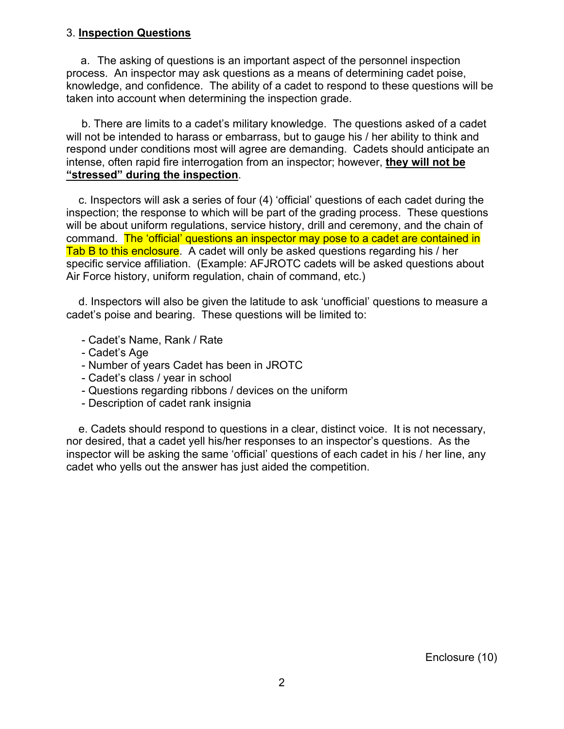# 3. **Inspection Questions**

a. The asking of questions is an important aspect of the personnel inspection process. An inspector may ask questions as a means of determining cadet poise, knowledge, and confidence. The ability of a cadet to respond to these questions will be taken into account when determining the inspection grade.

 b. There are limits to a cadet's military knowledge. The questions asked of a cadet will not be intended to harass or embarrass, but to gauge his / her ability to think and respond under conditions most will agree are demanding. Cadets should anticipate an intense, often rapid fire interrogation from an inspector; however, **they will not be "stressed" during the inspection**.

 c. Inspectors will ask a series of four (4) 'official' questions of each cadet during the inspection; the response to which will be part of the grading process. These questions will be about uniform regulations, service history, drill and ceremony, and the chain of command. The 'official' questions an inspector may pose to a cadet are contained in Tab B to this enclosure. A cadet will only be asked questions regarding his / her specific service affiliation. (Example: AFJROTC cadets will be asked questions about Air Force history, uniform regulation, chain of command, etc.)

 d. Inspectors will also be given the latitude to ask 'unofficial' questions to measure a cadet's poise and bearing. These questions will be limited to:

- Cadet's Name, Rank / Rate
- Cadet's Age
- Number of years Cadet has been in JROTC
- Cadet's class / year in school
- Questions regarding ribbons / devices on the uniform
- Description of cadet rank insignia

 e. Cadets should respond to questions in a clear, distinct voice. It is not necessary, nor desired, that a cadet yell his/her responses to an inspector's questions. As the inspector will be asking the same 'official' questions of each cadet in his / her line, any cadet who yells out the answer has just aided the competition.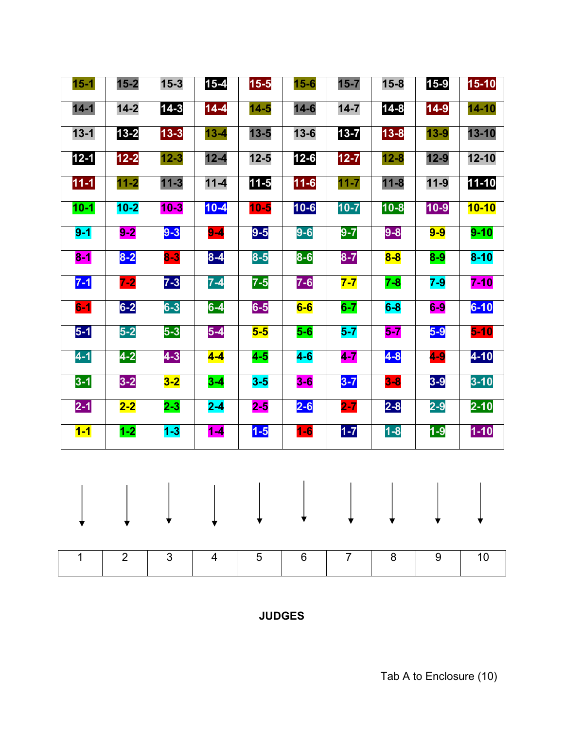| $14-3$<br>$14 - 8$<br>$14 - 2$<br>$14 - 4$<br>$14 - 7$<br>$14 - 1$<br>$14 - 6$<br>$14-9$<br>$14 - 5$<br>$14 - 10$<br>$13 - 2$<br>$13 - 7$<br>$13 - 3$<br>$13 - 8$<br>$13 - 1$<br>$13 - 4$<br>$13 - 5$<br>$13 - 6$<br>$13 - 9$<br>$13 - 10$<br>$12 - 6$<br>$12 - 1$<br>$12 - 5$<br>$12 - 2$<br>$12 - 3$<br>$12 - 4$<br>$12 - 7$<br>$12 - 10$<br>$12 - 8$<br>$12 - 9$<br>$11 - 3$<br>$11 - 5$<br>$11 - 10$<br>$11 - 1$<br>$11 - 2$<br>$11 - 4$<br>$11 - 6$<br>$11 - 7$<br>$11 - 8$<br>$11-9$<br>$10-1$<br>$10-2$<br>$10 - 4$<br>$10 - 6$<br>$10 - 7$<br>$10 - 8$<br>$10 - 3$<br>$10 - 10$<br>$10 - 5$<br>$10 - 9$<br>$9-5$<br>$9-6$<br>$9-1$<br>$9-3$<br>$9-7$<br>$9-8$<br>$9 - 2$<br>$9-9$<br>$9 - 10$<br>$9-4$<br>$8-2$<br>$8-3$<br>$8-4$<br>$8-5$<br>$8-6$<br>$8-7$<br>$8-1$<br>$8 - 10$<br>$8-8$<br>$8-9$<br>$7 - 3$<br>$7-1$<br>$7-5$<br>$7-6$<br>$7-2$<br>$7-4$<br>$7 - 7$<br>$7 - 8$<br>$7 - 9$<br>$7 - 10$<br>$6-2$<br>$6-3$<br>$6-1$<br>$6-4$<br>$6-10$<br>$6-5$<br>$6 - 7$<br>$6 - 8$<br>$6 - 6$<br>$6-9$<br>$5-1$<br>$5-2$<br>$5-3$<br>$5-4$<br>$5-9$<br>$5-5$<br>$5-10$<br>$5-6$<br>$5-7$<br>$5-7$<br>$4-2$<br>$4-3$<br>$4 - 10$<br>$4-1$<br>$4-7$<br>$4-8$<br>$4 - 4$<br>$4-5$<br>$4-6$<br>$4-9$<br>$3-1$<br>$3 - 2$<br>$3 - 7$<br>$3-9$<br>$3 - 10$<br>$3-2$<br>$3-8$<br>$3-4$<br>$3-5$<br>$3-6$<br>$2 - 8$<br>$2-1$<br>$2-6$<br>$2 - 7$<br>$2 - 10$<br>$2-2$<br>$2 - 3$<br>$2 - 4$<br>$2-9$<br>$2 - 5$<br>$1 - 7$<br>$1-2$<br>$1-8$<br>$1 - 10$<br>$1 - 1$<br>$1 - 3$<br>$1 - 5$<br>$1-9$<br>$1-6$<br>$1 - 4$<br>$\mathbf{I}$<br>$\mathbf{I}$<br>$\mathbf{L}$<br>$\mathbf{I}$<br>$\mathbf{L}$<br>$\perp$<br><b>Contract Contract</b><br>$\mathbf{L}$<br>$\sim$ 1.0 | $15 - 1$ | $15 - 2$ | $15 - 3$ | $15 - 4$ | $15-5$ | $15 - 6$ | $15 - 7$ | $15 - 8$ | $15 - 9$ | $15 - 10$ |
|---------------------------------------------------------------------------------------------------------------------------------------------------------------------------------------------------------------------------------------------------------------------------------------------------------------------------------------------------------------------------------------------------------------------------------------------------------------------------------------------------------------------------------------------------------------------------------------------------------------------------------------------------------------------------------------------------------------------------------------------------------------------------------------------------------------------------------------------------------------------------------------------------------------------------------------------------------------------------------------------------------------------------------------------------------------------------------------------------------------------------------------------------------------------------------------------------------------------------------------------------------------------------------------------------------------------------------------------------------------------------------------------------------------------------------------------------------------------------------------------------------------------------------------------------------------------------------------------------------------------------------------------------------------------------------|----------|----------|----------|----------|--------|----------|----------|----------|----------|-----------|
|                                                                                                                                                                                                                                                                                                                                                                                                                                                                                                                                                                                                                                                                                                                                                                                                                                                                                                                                                                                                                                                                                                                                                                                                                                                                                                                                                                                                                                                                                                                                                                                                                                                                                 |          |          |          |          |        |          |          |          |          |           |
|                                                                                                                                                                                                                                                                                                                                                                                                                                                                                                                                                                                                                                                                                                                                                                                                                                                                                                                                                                                                                                                                                                                                                                                                                                                                                                                                                                                                                                                                                                                                                                                                                                                                                 |          |          |          |          |        |          |          |          |          |           |
|                                                                                                                                                                                                                                                                                                                                                                                                                                                                                                                                                                                                                                                                                                                                                                                                                                                                                                                                                                                                                                                                                                                                                                                                                                                                                                                                                                                                                                                                                                                                                                                                                                                                                 |          |          |          |          |        |          |          |          |          |           |
|                                                                                                                                                                                                                                                                                                                                                                                                                                                                                                                                                                                                                                                                                                                                                                                                                                                                                                                                                                                                                                                                                                                                                                                                                                                                                                                                                                                                                                                                                                                                                                                                                                                                                 |          |          |          |          |        |          |          |          |          |           |
|                                                                                                                                                                                                                                                                                                                                                                                                                                                                                                                                                                                                                                                                                                                                                                                                                                                                                                                                                                                                                                                                                                                                                                                                                                                                                                                                                                                                                                                                                                                                                                                                                                                                                 |          |          |          |          |        |          |          |          |          |           |
|                                                                                                                                                                                                                                                                                                                                                                                                                                                                                                                                                                                                                                                                                                                                                                                                                                                                                                                                                                                                                                                                                                                                                                                                                                                                                                                                                                                                                                                                                                                                                                                                                                                                                 |          |          |          |          |        |          |          |          |          |           |
|                                                                                                                                                                                                                                                                                                                                                                                                                                                                                                                                                                                                                                                                                                                                                                                                                                                                                                                                                                                                                                                                                                                                                                                                                                                                                                                                                                                                                                                                                                                                                                                                                                                                                 |          |          |          |          |        |          |          |          |          |           |
|                                                                                                                                                                                                                                                                                                                                                                                                                                                                                                                                                                                                                                                                                                                                                                                                                                                                                                                                                                                                                                                                                                                                                                                                                                                                                                                                                                                                                                                                                                                                                                                                                                                                                 |          |          |          |          |        |          |          |          |          |           |
|                                                                                                                                                                                                                                                                                                                                                                                                                                                                                                                                                                                                                                                                                                                                                                                                                                                                                                                                                                                                                                                                                                                                                                                                                                                                                                                                                                                                                                                                                                                                                                                                                                                                                 |          |          |          |          |        |          |          |          |          |           |
|                                                                                                                                                                                                                                                                                                                                                                                                                                                                                                                                                                                                                                                                                                                                                                                                                                                                                                                                                                                                                                                                                                                                                                                                                                                                                                                                                                                                                                                                                                                                                                                                                                                                                 |          |          |          |          |        |          |          |          |          |           |
|                                                                                                                                                                                                                                                                                                                                                                                                                                                                                                                                                                                                                                                                                                                                                                                                                                                                                                                                                                                                                                                                                                                                                                                                                                                                                                                                                                                                                                                                                                                                                                                                                                                                                 |          |          |          |          |        |          |          |          |          |           |
|                                                                                                                                                                                                                                                                                                                                                                                                                                                                                                                                                                                                                                                                                                                                                                                                                                                                                                                                                                                                                                                                                                                                                                                                                                                                                                                                                                                                                                                                                                                                                                                                                                                                                 |          |          |          |          |        |          |          |          |          |           |
|                                                                                                                                                                                                                                                                                                                                                                                                                                                                                                                                                                                                                                                                                                                                                                                                                                                                                                                                                                                                                                                                                                                                                                                                                                                                                                                                                                                                                                                                                                                                                                                                                                                                                 |          |          |          |          |        |          |          |          |          |           |
|                                                                                                                                                                                                                                                                                                                                                                                                                                                                                                                                                                                                                                                                                                                                                                                                                                                                                                                                                                                                                                                                                                                                                                                                                                                                                                                                                                                                                                                                                                                                                                                                                                                                                 |          |          |          |          |        |          |          |          |          |           |
|                                                                                                                                                                                                                                                                                                                                                                                                                                                                                                                                                                                                                                                                                                                                                                                                                                                                                                                                                                                                                                                                                                                                                                                                                                                                                                                                                                                                                                                                                                                                                                                                                                                                                 |          |          |          |          |        |          |          |          |          |           |
|                                                                                                                                                                                                                                                                                                                                                                                                                                                                                                                                                                                                                                                                                                                                                                                                                                                                                                                                                                                                                                                                                                                                                                                                                                                                                                                                                                                                                                                                                                                                                                                                                                                                                 |          |          |          |          |        |          |          |          |          |           |
|                                                                                                                                                                                                                                                                                                                                                                                                                                                                                                                                                                                                                                                                                                                                                                                                                                                                                                                                                                                                                                                                                                                                                                                                                                                                                                                                                                                                                                                                                                                                                                                                                                                                                 |          |          |          |          |        |          |          |          |          |           |
|                                                                                                                                                                                                                                                                                                                                                                                                                                                                                                                                                                                                                                                                                                                                                                                                                                                                                                                                                                                                                                                                                                                                                                                                                                                                                                                                                                                                                                                                                                                                                                                                                                                                                 |          |          |          |          |        |          |          |          |          |           |
| 3<br>$\overline{7}$<br>$\overline{2}$<br>5<br>8<br>1<br>$6\phantom{1}6$<br>9<br>10<br>4                                                                                                                                                                                                                                                                                                                                                                                                                                                                                                                                                                                                                                                                                                                                                                                                                                                                                                                                                                                                                                                                                                                                                                                                                                                                                                                                                                                                                                                                                                                                                                                         |          |          |          |          |        |          |          |          |          |           |

**JUDGES**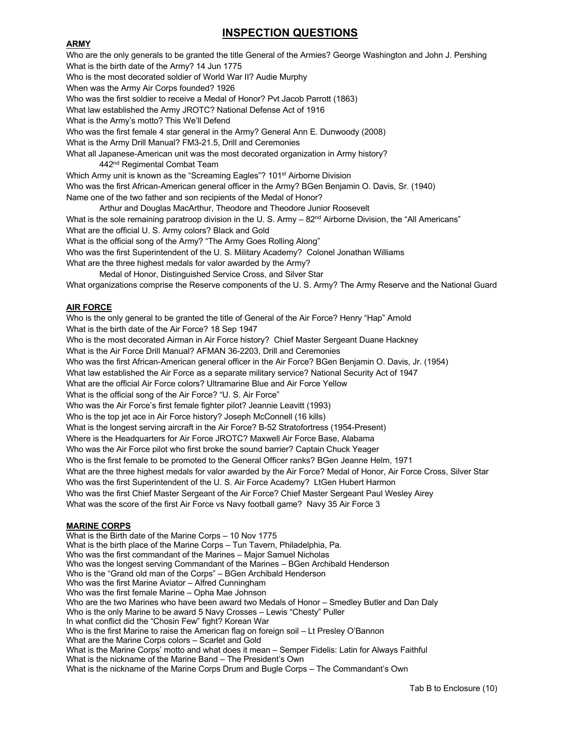# **INSPECTION QUESTIONS**

#### **ARMY**

Who are the only generals to be granted the title General of the Armies? George Washington and John J. Pershing What is the birth date of the Army? 14 Jun 1775 Who is the most decorated soldier of World War II? Audie Murphy When was the Army Air Corps founded? 1926 Who was the first soldier to receive a Medal of Honor? Pvt Jacob Parrott (1863) What law established the Army JROTC? National Defense Act of 1916 What is the Army's motto? This We'll Defend Who was the first female 4 star general in the Army? General Ann E. Dunwoody (2008) What is the Army Drill Manual? FM3-21.5, Drill and Ceremonies What all Japanese-American unit was the most decorated organization in Army history? 442<sup>nd</sup> Regimental Combat Team Which Army unit is known as the "Screaming Eagles"? 101<sup>st</sup> Airborne Division Who was the first African-American general officer in the Army? BGen Benjamin O. Davis, Sr. (1940) Name one of the two father and son recipients of the Medal of Honor? Arthur and Douglas MacArthur, Theodore and Theodore Junior Roosevelt What is the sole remaining paratroop division in the U. S. Army  $-82<sup>nd</sup>$  Airborne Division, the "All Americans" What are the official U. S. Army colors? Black and Gold What is the official song of the Army? "The Army Goes Rolling Along" Who was the first Superintendent of the U. S. Military Academy? Colonel Jonathan Williams What are the three highest medals for valor awarded by the Army? Medal of Honor, Distinguished Service Cross, and Silver Star What organizations comprise the Reserve components of the U. S. Army? The Army Reserve and the National Guard

### **AIR FORCE**

Who is the only general to be granted the title of General of the Air Force? Henry "Hap" Arnold What is the birth date of the Air Force? 18 Sep 1947 Who is the most decorated Airman in Air Force history? Chief Master Sergeant Duane Hackney What is the Air Force Drill Manual? AFMAN 36-2203, Drill and Ceremonies Who was the first African-American general officer in the Air Force? BGen Benjamin O. Davis, Jr. (1954) What law established the Air Force as a separate military service? National Security Act of 1947 What are the official Air Force colors? Ultramarine Blue and Air Force Yellow What is the official song of the Air Force? "U. S. Air Force" Who was the Air Force's first female fighter pilot? Jeannie Leavitt (1993) Who is the top jet ace in Air Force history? Joseph McConnell (16 kills) What is the longest serving aircraft in the Air Force? B-52 Stratofortress (1954-Present) Where is the Headquarters for Air Force JROTC? Maxwell Air Force Base, Alabama Who was the Air Force pilot who first broke the sound barrier? Captain Chuck Yeager Who is the first female to be promoted to the General Officer ranks? BGen Jeanne Helm, 1971 What are the three highest medals for valor awarded by the Air Force? Medal of Honor, Air Force Cross, Silver Star Who was the first Superintendent of the U. S. Air Force Academy? LtGen Hubert Harmon Who was the first Chief Master Sergeant of the Air Force? Chief Master Sergeant Paul Wesley Airey What was the score of the first Air Force vs Navy football game? Navy 35 Air Force 3

#### **MARINE CORPS**

What is the Birth date of the Marine Corps – 10 Nov 1775 What is the birth place of the Marine Corps – Tun Tavern, Philadelphia, Pa. Who was the first commandant of the Marines – Major Samuel Nicholas Who was the longest serving Commandant of the Marines – BGen Archibald Henderson Who is the "Grand old man of the Corps" – BGen Archibald Henderson Who was the first Marine Aviator – Alfred Cunningham Who was the first female Marine – Opha Mae Johnson Who are the two Marines who have been award two Medals of Honor – Smedley Butler and Dan Daly Who is the only Marine to be award 5 Navy Crosses – Lewis "Chesty" Puller In what conflict did the "Chosin Few" fight? Korean War Who is the first Marine to raise the American flag on foreign soil – Lt Presley O'Bannon What are the Marine Corps colors – Scarlet and Gold What is the Marine Corps' motto and what does it mean – Semper Fidelis: Latin for Always Faithful What is the nickname of the Marine Band – The President's Own What is the nickname of the Marine Corps Drum and Bugle Corps – The Commandant's Own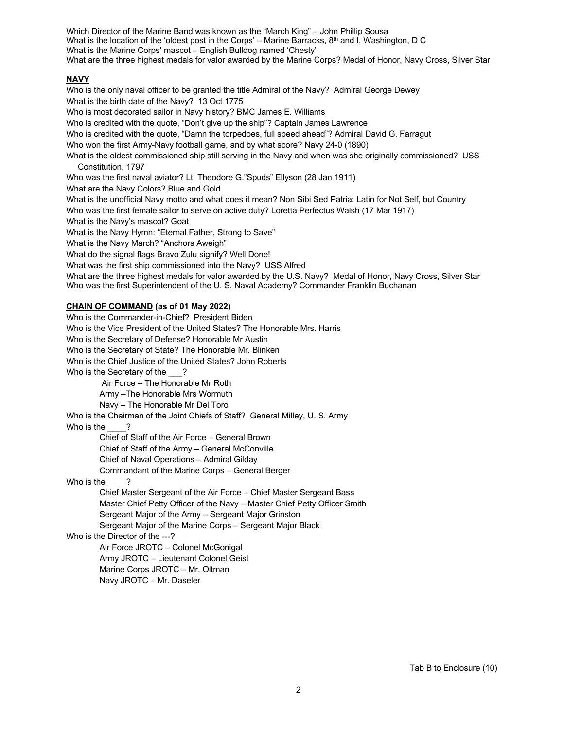Which Director of the Marine Band was known as the "March King" – John Phillip Sousa What is the location of the 'oldest post in the Corps' – Marine Barracks,  $8<sup>th</sup>$  and I, Washington, D C What is the Marine Corps' mascot – English Bulldog named 'Chesty' What are the three highest medals for valor awarded by the Marine Corps? Medal of Honor, Navy Cross, Silver Star

#### **NAVY**

Who is the only naval officer to be granted the title Admiral of the Navy? Admiral George Dewey What is the birth date of the Navy? 13 Oct 1775 Who is most decorated sailor in Navy history? BMC James E. Williams Who is credited with the quote, "Don't give up the ship"? Captain James Lawrence Who is credited with the quote, "Damn the torpedoes, full speed ahead"? Admiral David G. Farragut Who won the first Army-Navy football game, and by what score? Navy 24-0 (1890) What is the oldest commissioned ship still serving in the Navy and when was she originally commissioned? USS Constitution, 1797 Who was the first naval aviator? Lt. Theodore G."Spuds" Ellyson (28 Jan 1911) What are the Navy Colors? Blue and Gold What is the unofficial Navy motto and what does it mean? Non Sibi Sed Patria: Latin for Not Self, but Country Who was the first female sailor to serve on active duty? Loretta Perfectus Walsh (17 Mar 1917) What is the Navy's mascot? Goat What is the Navy Hymn: "Eternal Father, Strong to Save" What is the Navy March? "Anchors Aweigh" What do the signal flags Bravo Zulu signify? Well Done! What was the first ship commissioned into the Navy? USS Alfred What are the three highest medals for valor awarded by the U.S. Navy? Medal of Honor, Navy Cross, Silver Star Who was the first Superintendent of the U. S. Naval Academy? Commander Franklin Buchanan **CHAIN OF COMMAND (as of 01 May 2022)** Who is the Commander-in-Chief? President Biden Who is the Vice President of the United States? The Honorable Mrs. Harris Who is the Secretary of Defense? Honorable Mr Austin Who is the Secretary of State? The Honorable Mr. Blinken Who is the Chief Justice of the United States? John Roberts

Who is the Secretary of the ?

Air Force – The Honorable Mr Roth

Army –The Honorable Mrs Wormuth

Navy – The Honorable Mr Del Toro

Who is the Chairman of the Joint Chiefs of Staff? General Milley, U. S. Army

Who is the  $\qquad$ ?

Chief of Staff of the Air Force – General Brown Chief of Staff of the Army – General McConville Chief of Naval Operations – Admiral Gilday

Commandant of the Marine Corps – General Berger

Who is the ?

Chief Master Sergeant of the Air Force – Chief Master Sergeant Bass Master Chief Petty Officer of the Navy – Master Chief Petty Officer Smith Sergeant Major of the Army – Sergeant Major Grinston Sergeant Major of the Marine Corps – Sergeant Major Black

Who is the Director of the ---?

Air Force JROTC – Colonel McGonigal Army JROTC – Lieutenant Colonel Geist Marine Corps JROTC – Mr. Oltman Navy JROTC – Mr. Daseler

Tab B to Enclosure (10)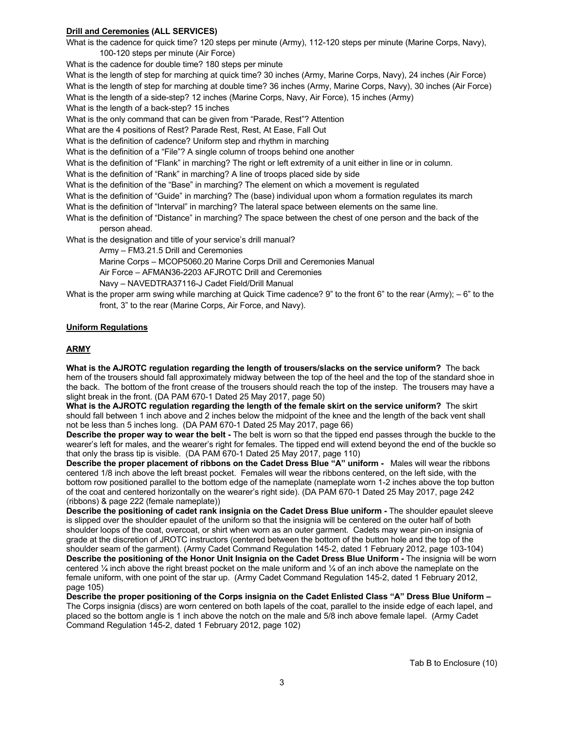#### **Drill and Ceremonies (ALL SERVICES)**

What is the cadence for quick time? 120 steps per minute (Army), 112-120 steps per minute (Marine Corps, Navy), 100-120 steps per minute (Air Force)

What is the cadence for double time? 180 steps per minute

What is the length of step for marching at quick time? 30 inches (Army, Marine Corps, Navy), 24 inches (Air Force)

What is the length of step for marching at double time? 36 inches (Army, Marine Corps, Navy), 30 inches (Air Force)

What is the length of a side-step? 12 inches (Marine Corps, Navy, Air Force), 15 inches (Army)

What is the length of a back-step? 15 inches

What is the only command that can be given from "Parade, Rest"? Attention

What are the 4 positions of Rest? Parade Rest, Rest, At Ease, Fall Out

What is the definition of cadence? Uniform step and rhythm in marching

What is the definition of a "File"? A single column of troops behind one another

What is the definition of "Flank" in marching? The right or left extremity of a unit either in line or in column.

What is the definition of "Rank" in marching? A line of troops placed side by side

What is the definition of the "Base" in marching? The element on which a movement is regulated

What is the definition of "Guide" in marching? The (base) individual upon whom a formation regulates its march

What is the definition of "Interval" in marching? The lateral space between elements on the same line.

What is the definition of "Distance" in marching? The space between the chest of one person and the back of the person ahead.

What is the designation and title of your service's drill manual?

Army – FM3.21.5 Drill and Ceremonies

Marine Corps – MCOP5060.20 Marine Corps Drill and Ceremonies Manual

Air Force – AFMAN36-2203 AFJROTC Drill and Ceremonies

Navy – NAVEDTRA37116-J Cadet Field/Drill Manual

What is the proper arm swing while marching at Quick Time cadence?  $9$ " to the front  $6$ " to the rear (Army);  $-6$ " to the front, 3" to the rear (Marine Corps, Air Force, and Navy).

#### **Uniform Regulations**

#### **ARMY**

**What is the AJROTC regulation regarding the length of trousers/slacks on the service uniform?** The back hem of the trousers should fall approximately midway between the top of the heel and the top of the standard shoe in the back. The bottom of the front crease of the trousers should reach the top of the instep. The trousers may have a slight break in the front. (DA PAM 670-1 Dated 25 May 2017, page 50)

**What is the AJROTC regulation regarding the length of the female skirt on the service uniform?** The skirt should fall between 1 inch above and 2 inches below the midpoint of the knee and the length of the back vent shall not be less than 5 inches long. (DA PAM 670-1 Dated 25 May 2017, page 66)

**Describe the proper way to wear the belt -** The belt is worn so that the tipped end passes through the buckle to the wearer's left for males, and the wearer's right for females. The tipped end will extend beyond the end of the buckle so that only the brass tip is visible. (DA PAM 670-1 Dated 25 May 2017, page 110)

**Describe the proper placement of ribbons on the Cadet Dress Blue "A" uniform -** Males will wear the ribbons centered 1/8 inch above the left breast pocket. Females will wear the ribbons centered, on the left side, with the bottom row positioned parallel to the bottom edge of the nameplate (nameplate worn 1-2 inches above the top button of the coat and centered horizontally on the wearer's right side). (DA PAM 670-1 Dated 25 May 2017, page 242 (ribbons) & page 222 (female nameplate))

**Describe the positioning of cadet rank insignia on the Cadet Dress Blue uniform -** The shoulder epaulet sleeve is slipped over the shoulder epaulet of the uniform so that the insignia will be centered on the outer half of both shoulder loops of the coat, overcoat, or shirt when worn as an outer garment. Cadets may wear pin-on insignia of grade at the discretion of JROTC instructors (centered between the bottom of the button hole and the top of the shoulder seam of the garment). (Army Cadet Command Regulation 145-2, dated 1 February 2012, page 103-104) **Describe the positioning of the Honor Unit Insignia on the Cadet Dress Blue Uniform -** The insignia will be worn centered ¼ inch above the right breast pocket on the male uniform and ¼ of an inch above the nameplate on the female uniform, with one point of the star up. (Army Cadet Command Regulation 145-2, dated 1 February 2012, page 105)

**Describe the proper positioning of the Corps insignia on the Cadet Enlisted Class "A" Dress Blue Uniform –** The Corps insignia (discs) are worn centered on both lapels of the coat, parallel to the inside edge of each lapel, and placed so the bottom angle is 1 inch above the notch on the male and 5/8 inch above female lapel. (Army Cadet Command Regulation 145-2, dated 1 February 2012, page 102)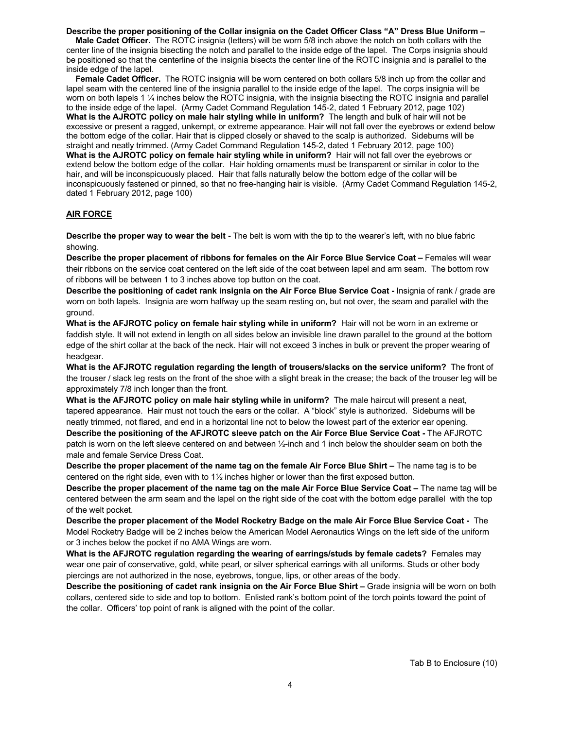#### **Describe the proper positioning of the Collar insignia on the Cadet Officer Class "A" Dress Blue Uniform –**

 **Male Cadet Officer.** The ROTC insignia (letters) will be worn 5/8 inch above the notch on both collars with the center line of the insignia bisecting the notch and parallel to the inside edge of the lapel. The Corps insignia should be positioned so that the centerline of the insignia bisects the center line of the ROTC insignia and is parallel to the inside edge of the lapel.

 **Female Cadet Officer.** The ROTC insignia will be worn centered on both collars 5/8 inch up from the collar and lapel seam with the centered line of the insignia parallel to the inside edge of the lapel. The corps insignia will be worn on both lapels 1  $\frac{1}{4}$  inches below the ROTC insignia, with the insignia bisecting the ROTC insignia and parallel to the inside edge of the lapel. (Army Cadet Command Regulation 145-2, dated 1 February 2012, page 102) **What is the AJROTC policy on male hair styling while in uniform?** The length and bulk of hair will not be excessive or present a ragged, unkempt, or extreme appearance. Hair will not fall over the eyebrows or extend below the bottom edge of the collar. Hair that is clipped closely or shaved to the scalp is authorized. Sideburns will be straight and neatly trimmed. (Army Cadet Command Regulation 145-2, dated 1 February 2012, page 100) **What is the AJROTC policy on female hair styling while in uniform?** Hair will not fall over the eyebrows or extend below the bottom edge of the collar. Hair holding ornaments must be transparent or similar in color to the hair, and will be inconspicuously placed. Hair that falls naturally below the bottom edge of the collar will be inconspicuously fastened or pinned, so that no free-hanging hair is visible. (Army Cadet Command Regulation 145-2, dated 1 February 2012, page 100)

#### **AIR FORCE**

**Describe the proper way to wear the belt -** The belt is worn with the tip to the wearer's left, with no blue fabric showing.

**Describe the proper placement of ribbons for females on the Air Force Blue Service Coat –** Females will wear their ribbons on the service coat centered on the left side of the coat between lapel and arm seam. The bottom row of ribbons will be between 1 to 3 inches above top button on the coat.

**Describe the positioning of cadet rank insignia on the Air Force Blue Service Coat -** Insignia of rank / grade are worn on both lapels. Insignia are worn halfway up the seam resting on, but not over, the seam and parallel with the ground.

**What is the AFJROTC policy on female hair styling while in uniform?** Hair will not be worn in an extreme or faddish style. It will not extend in length on all sides below an invisible line drawn parallel to the ground at the bottom edge of the shirt collar at the back of the neck. Hair will not exceed 3 inches in bulk or prevent the proper wearing of headgear.

**What is the AFJROTC regulation regarding the length of trousers/slacks on the service uniform?** The front of the trouser / slack leg rests on the front of the shoe with a slight break in the crease; the back of the trouser leg will be approximately 7/8 inch longer than the front.

**What is the AFJROTC policy on male hair styling while in uniform?** The male haircut will present a neat, tapered appearance. Hair must not touch the ears or the collar. A "block" style is authorized. Sideburns will be neatly trimmed, not flared, and end in a horizontal line not to below the lowest part of the exterior ear opening.

**Describe the positioning of the AFJROTC sleeve patch on the Air Force Blue Service Coat -** The AFJROTC patch is worn on the left sleeve centered on and between ½-inch and 1 inch below the shoulder seam on both the male and female Service Dress Coat.

**Describe the proper placement of the name tag on the female Air Force Blue Shirt –** The name tag is to be centered on the right side, even with to 1½ inches higher or lower than the first exposed button.

**Describe the proper placement of the name tag on the male Air Force Blue Service Coat –** The name tag will be centered between the arm seam and the lapel on the right side of the coat with the bottom edge parallel with the top of the welt pocket.

**Describe the proper placement of the Model Rocketry Badge on the male Air Force Blue Service Coat -** The Model Rocketry Badge will be 2 inches below the American Model Aeronautics Wings on the left side of the uniform or 3 inches below the pocket if no AMA Wings are worn.

**What is the AFJROTC regulation regarding the wearing of earrings/studs by female cadets?** Females may wear one pair of conservative, gold, white pearl, or silver spherical earrings with all uniforms. Studs or other body piercings are not authorized in the nose, eyebrows, tongue, lips, or other areas of the body.

**Describe the positioning of cadet rank insignia on the Air Force Blue Shirt –** Grade insignia will be worn on both collars, centered side to side and top to bottom. Enlisted rank's bottom point of the torch points toward the point of the collar. Officers' top point of rank is aligned with the point of the collar.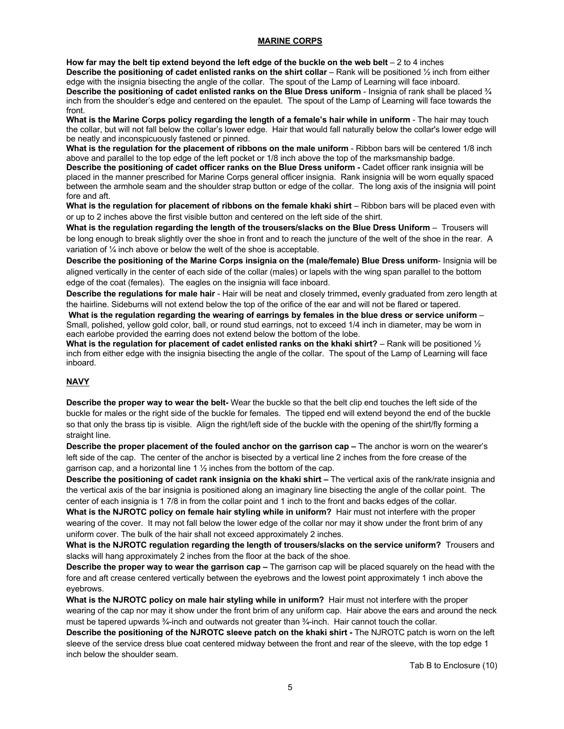#### **MARINE CORPS**

**How far may the belt tip extend beyond the left edge of the buckle on the web belt** – 2 to 4 inches **Describe the positioning of cadet enlisted ranks on the shirt collar** – Rank will be positioned ½ inch from either edge with the insignia bisecting the angle of the collar. The spout of the Lamp of Learning will face inboard.

**Describe the positioning of cadet enlisted ranks on the Blue Dress uniform** - Insignia of rank shall be placed ¾ inch from the shoulder's edge and centered on the epaulet. The spout of the Lamp of Learning will face towards the front.

**What is the Marine Corps policy regarding the length of a female's hair while in uniform** - The hair may touch the collar, but will not fall below the collar's lower edge. Hair that would fall naturally below the collar's lower edge will be neatly and inconspicuously fastened or pinned.

**What is the regulation for the placement of ribbons on the male uniform** - Ribbon bars will be centered 1/8 inch above and parallel to the top edge of the left pocket or 1/8 inch above the top of the marksmanship badge.

**Describe the positioning of cadet officer ranks on the Blue Dress uniform -** Cadet officer rank insignia will be placed in the manner prescribed for Marine Corps general officer insignia. Rank insignia will be worn equally spaced between the armhole seam and the shoulder strap button or edge of the collar. The long axis of the insignia will point fore and aft.

**What is the regulation for placement of ribbons on the female khaki shirt** – Ribbon bars will be placed even with or up to 2 inches above the first visible button and centered on the left side of the shirt.

**What is the regulation regarding the length of the trousers/slacks on the Blue Dress Uniform** – Trousers will be long enough to break slightly over the shoe in front and to reach the juncture of the welt of the shoe in the rear. A variation of ¼ inch above or below the welt of the shoe is acceptable.

**Describe the positioning of the Marine Corps insignia on the (male/female) Blue Dress uniform**- Insignia will be aligned vertically in the center of each side of the collar (males) or lapels with the wing span parallel to the bottom edge of the coat (females). The eagles on the insignia will face inboard.

**Describe the regulations for male hair** - Hair will be neat and closely trimmed**,** evenly graduated from zero length at the hairline. Sideburns will not extend below the top of the orifice of the ear and will not be flared or tapered.

**What is the regulation regarding the wearing of earrings by females in the blue dress or service uniform** – Small, polished, yellow gold color, ball, or round stud earrings, not to exceed 1/4 inch in diameter, may be worn in each earlobe provided the earring does not extend below the bottom of the lobe.

**What is the regulation for placement of cadet enlisted ranks on the khaki shirt?** – Rank will be positioned ½ inch from either edge with the insignia bisecting the angle of the collar. The spout of the Lamp of Learning will face inboard.

#### **NAVY**

**Describe the proper way to wear the belt-** Wear the buckle so that the belt clip end touches the left side of the buckle for males or the right side of the buckle for females. The tipped end will extend beyond the end of the buckle so that only the brass tip is visible. Align the right/left side of the buckle with the opening of the shirt/fly forming a straight line.

**Describe the proper placement of the fouled anchor on the garrison cap –** The anchor is worn on the wearer's left side of the cap. The center of the anchor is bisected by a vertical line 2 inches from the fore crease of the garrison cap, and a horizontal line 1  $\frac{1}{2}$  inches from the bottom of the cap.

**Describe the positioning of cadet rank insignia on the khaki shirt –** The vertical axis of the rank/rate insignia and the vertical axis of the bar insignia is positioned along an imaginary line bisecting the angle of the collar point. The center of each insignia is 1 7/8 in from the collar point and 1 inch to the front and backs edges of the collar.

**What is the NJROTC policy on female hair styling while in uniform?** Hair must not interfere with the proper wearing of the cover. It may not fall below the lower edge of the collar nor may it show under the front brim of any uniform cover. The bulk of the hair shall not exceed approximately 2 inches.

**What is the NJROTC regulation regarding the length of trousers/slacks on the service uniform?** Trousers and slacks will hang approximately 2 inches from the floor at the back of the shoe.

**Describe the proper way to wear the garrison cap –** The garrison cap will be placed squarely on the head with the fore and aft crease centered vertically between the eyebrows and the lowest point approximately 1 inch above the eyebrows.

**What is the NJROTC policy on male hair styling while in uniform?** Hair must not interfere with the proper wearing of the cap nor may it show under the front brim of any uniform cap. Hair above the ears and around the neck must be tapered upwards ¼-inch and outwards not greater than ¼-inch. Hair cannot touch the collar.

**Describe the positioning of the NJROTC sleeve patch on the khaki shirt -** The NJROTC patch is worn on the left sleeve of the service dress blue coat centered midway between the front and rear of the sleeve, with the top edge 1 inch below the shoulder seam.

Tab B to Enclosure (10)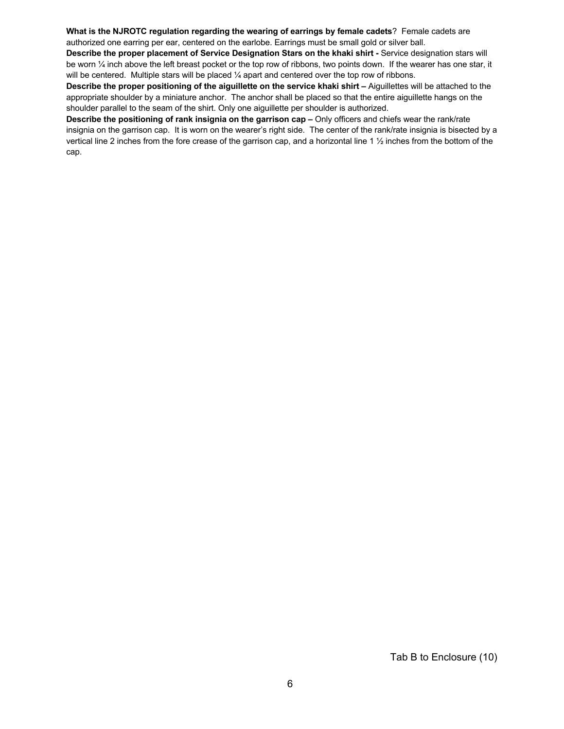**What is the NJROTC regulation regarding the wearing of earrings by female cadets**? Female cadets are authorized one earring per ear, centered on the earlobe. Earrings must be small gold or silver ball.

**Describe the proper placement of Service Designation Stars on the khaki shirt -** Service designation stars will be worn 1/4 inch above the left breast pocket or the top row of ribbons, two points down. If the wearer has one star, it will be centered. Multiple stars will be placed  $\frac{1}{4}$  apart and centered over the top row of ribbons.

**Describe the proper positioning of the aiguillette on the service khaki shirt –** Aiguillettes will be attached to the appropriate shoulder by a miniature anchor. The anchor shall be placed so that the entire aiguillette hangs on the shoulder parallel to the seam of the shirt. Only one aiguillette per shoulder is authorized.

**Describe the positioning of rank insignia on the garrison cap –** Only officers and chiefs wear the rank/rate insignia on the garrison cap. It is worn on the wearer's right side. The center of the rank/rate insignia is bisected by a vertical line 2 inches from the fore crease of the garrison cap, and a horizontal line 1 ½ inches from the bottom of the cap.

Tab B to Enclosure (10)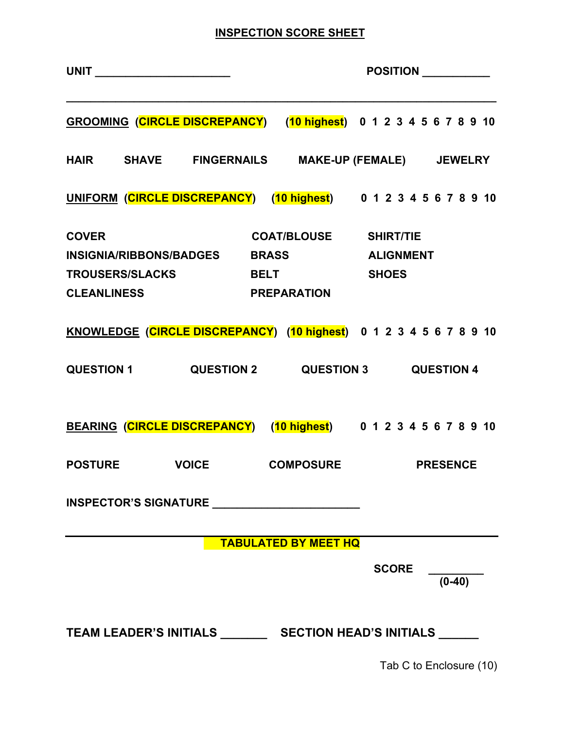# **INSPECTION SCORE SHEET**

|                                    |                                                                                             |                              |              | POSITION __________                                                |
|------------------------------------|---------------------------------------------------------------------------------------------|------------------------------|--------------|--------------------------------------------------------------------|
|                                    | GROOMING (CIRCLE DISCREPANCY) (10 highest) 0 1 2 3 4 5 6 7 8 9 10                           |                              |              |                                                                    |
|                                    | HAIR SHAVE FINGERNAILS MAKE-UP (FEMALE) JEWELRY                                             |                              |              |                                                                    |
|                                    |                                                                                             |                              |              | UNIFORM (CIRCLE DISCREPANCY) (10 highest) 0 1 2 3 4 5 6 7 8 9 10   |
| <b>COVER</b><br><b>CLEANLINESS</b> | INSIGNIA/RIBBONS/BADGES BRASS ALIGNMENT<br>TROUSERS/SLACKS BELT SHOES<br><b>PREPARATION</b> | <b>COAT/BLOUSE SHIRT/TIE</b> |              |                                                                    |
|                                    |                                                                                             |                              |              | KNOWLEDGE (CIRCLE DISCREPANCY) (10 highest) 0 1 2 3 4 5 6 7 8 9 10 |
|                                    | QUESTION 1 QUESTION 2 QUESTION 3 QUESTION 4                                                 |                              |              |                                                                    |
|                                    | BEARING (CIRCLE DISCREPANCY) (10 highest) 0 1 2 3 4 5 6 7 8 9 10                            |                              |              |                                                                    |
|                                    | POSTURE VOICE COMPOSURE PRESENCE                                                            |                              |              |                                                                    |
|                                    | INSPECTOR'S SIGNATURE                                                                       |                              |              |                                                                    |
|                                    |                                                                                             | <b>TABULATED BY MEET HQ</b>  |              |                                                                    |
|                                    |                                                                                             |                              | <b>SCORE</b> | $(0-40)$                                                           |
|                                    |                                                                                             |                              |              |                                                                    |

Tab C to Enclosure (10)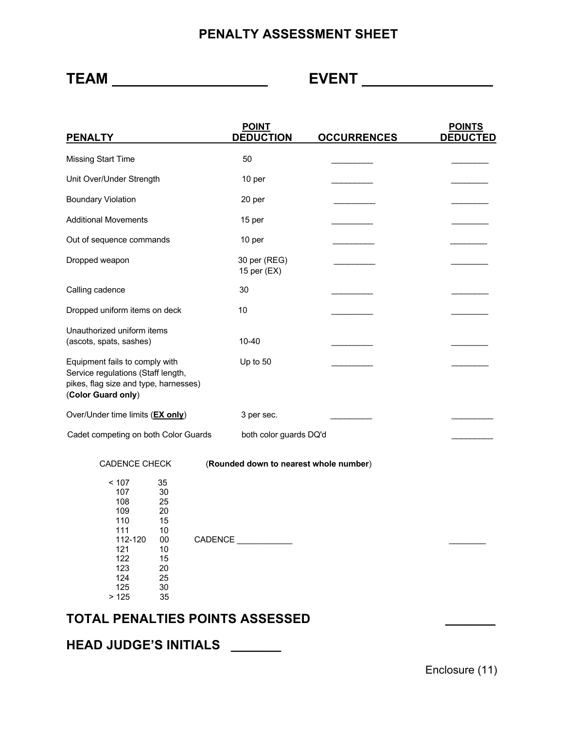# **PENALTY ASSESSMENT SHEET**

**TEAM \_\_\_\_\_\_\_\_\_\_\_\_\_\_\_\_\_\_\_ EVENT \_\_\_\_\_\_\_\_\_\_\_\_\_\_\_\_**

| <b>PENALTY</b>                                                                                                                                                                   |         | <b>POINT</b><br><b>DEDUCTION</b>       | <b>OCCURRENCES</b> | <b>POINTS</b><br><b>DEDUCTED</b> |
|----------------------------------------------------------------------------------------------------------------------------------------------------------------------------------|---------|----------------------------------------|--------------------|----------------------------------|
| <b>Missing Start Time</b>                                                                                                                                                        |         | 50                                     |                    |                                  |
| Unit Over/Under Strength                                                                                                                                                         |         | 10 per                                 |                    |                                  |
| <b>Boundary Violation</b>                                                                                                                                                        |         | 20 per                                 |                    |                                  |
| <b>Additional Movements</b>                                                                                                                                                      |         | 15 per                                 |                    |                                  |
| Out of sequence commands                                                                                                                                                         |         | 10 per                                 |                    |                                  |
| Dropped weapon                                                                                                                                                                   |         | 30 per (REG)<br>15 per (EX)            |                    |                                  |
| Calling cadence                                                                                                                                                                  |         | 30                                     |                    |                                  |
| Dropped uniform items on deck                                                                                                                                                    |         | 10                                     |                    |                                  |
| Unauthorized uniform items<br>(ascots, spats, sashes)                                                                                                                            |         | $10 - 40$                              |                    |                                  |
| Equipment fails to comply with<br>Service regulations (Staff length,<br>pikes, flag size and type, harnesses)<br>(Color Guard only)                                              |         | Up to 50                               |                    |                                  |
| Over/Under time limits (EX only)                                                                                                                                                 |         | 3 per sec.                             |                    |                                  |
| Cadet competing on both Color Guards                                                                                                                                             |         | both color guards DQ'd                 |                    |                                  |
| <b>CADENCE CHECK</b>                                                                                                                                                             |         | (Rounded down to nearest whole number) |                    |                                  |
| < 107<br>35<br>107<br>30<br>25<br>108<br>109<br>20<br>110<br>15<br>111<br>10<br>112-120<br>$00\,$<br>121<br>10<br>122<br>15<br>123<br>20<br>124<br>25<br>125<br>30<br>>125<br>35 | CADENCE |                                        |                    |                                  |

# **TOTAL PENALTIES POINTS ASSESSED \_\_\_\_\_\_\_**

**HEAD JUDGE'S INITIALS \_\_\_\_\_\_\_**